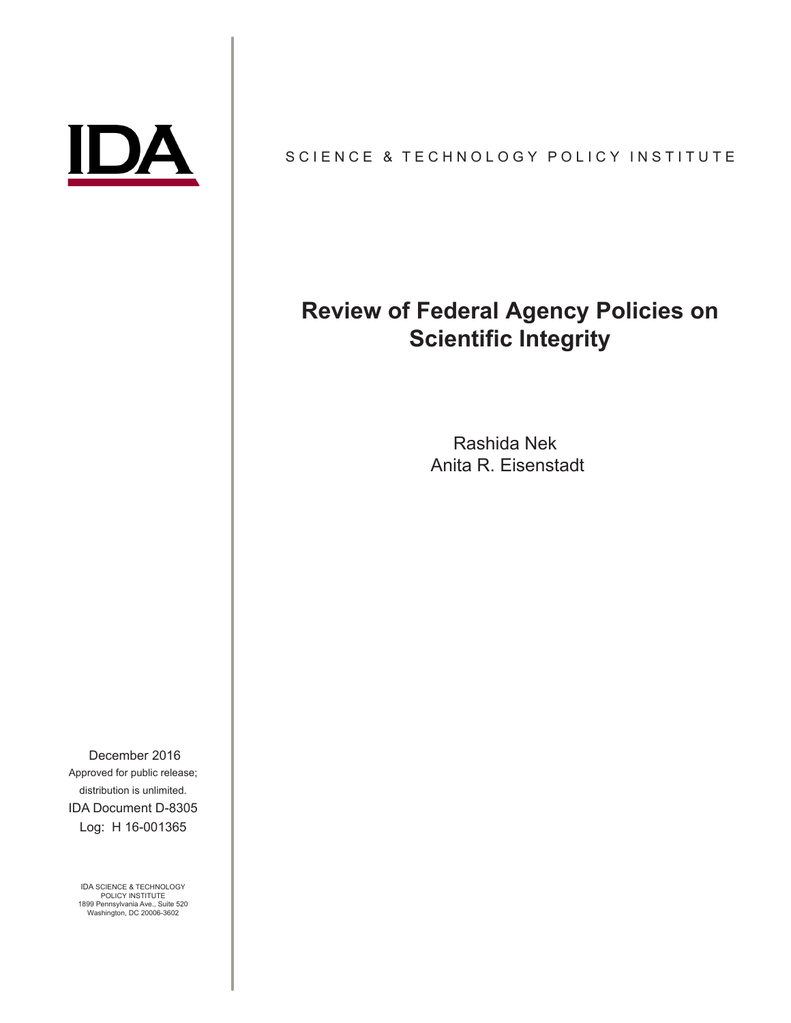

### SCIENCE & TECHNOLOGY POLICY INSTITUTE

# **Review of Federal Agency Policies on Scientific Integrity**

Rashida Nek Anita R. Eisenstadt

December 2016 Approved for public release; distribution is unlimited. IDA Document D-8305 Log: H 16-001365

IDA SCIENCE & TECHNOLOGY POLICY INSTITUTE 1899 Pennsylvania Ave., Suite 520 Washington, DC 20006-3602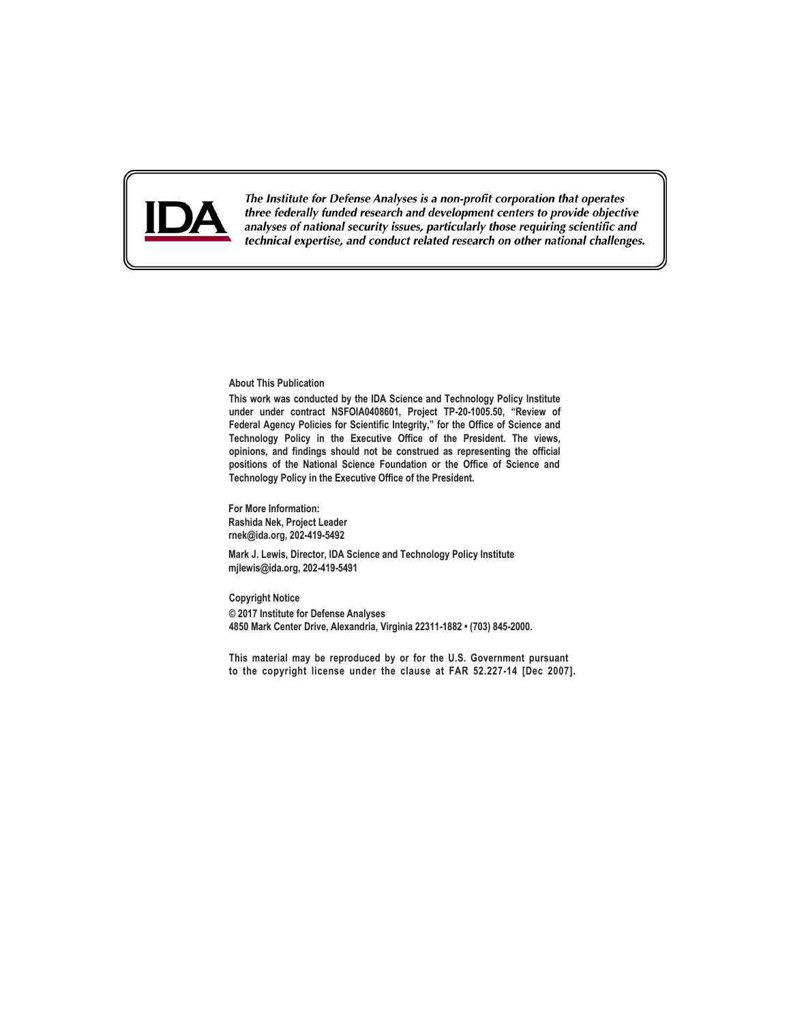

The Institute for Defense Analyses is a non-profit corporation that operates three federally funded research and development centers to provide objective analyses of national security issues, particularly those requiring scientific and technical expertise, and conduct related research on other national challenges.

#### **About This Publication**

**This work was conducted by the IDA Science and Technology Policy Institute under under contract NSFOIA0408601, Project TP-20-1005.50, "Review of Federal Agency Policies for Scientific Integrity," for the Office of Science and Technology Policy in the Executive Office of the President. The views, opinions, and findings should not be construed as representing the official positions of the National Science Foundation or the Office of Science and Technology Policy in the Executive Office of the President.**

**For More Information: Rashida Nek, Project Leader rnek@ida.org, 202-419-5492**

**Mark J. Lewis, Director, IDA Science and Technology Policy Institute mjlewis@ida.org, 202-419-5491**

**Copyright Notice © 2017 Institute for Defense Analyses 4850 Mark Center Drive, Alexandria, Virginia 22311-1882 • (703) 845-2000.**

**This material may be reproduced by or for the U.S. Government pursuant to the copyright license under the clause at FAR 52.227-14 [Dec 2007].**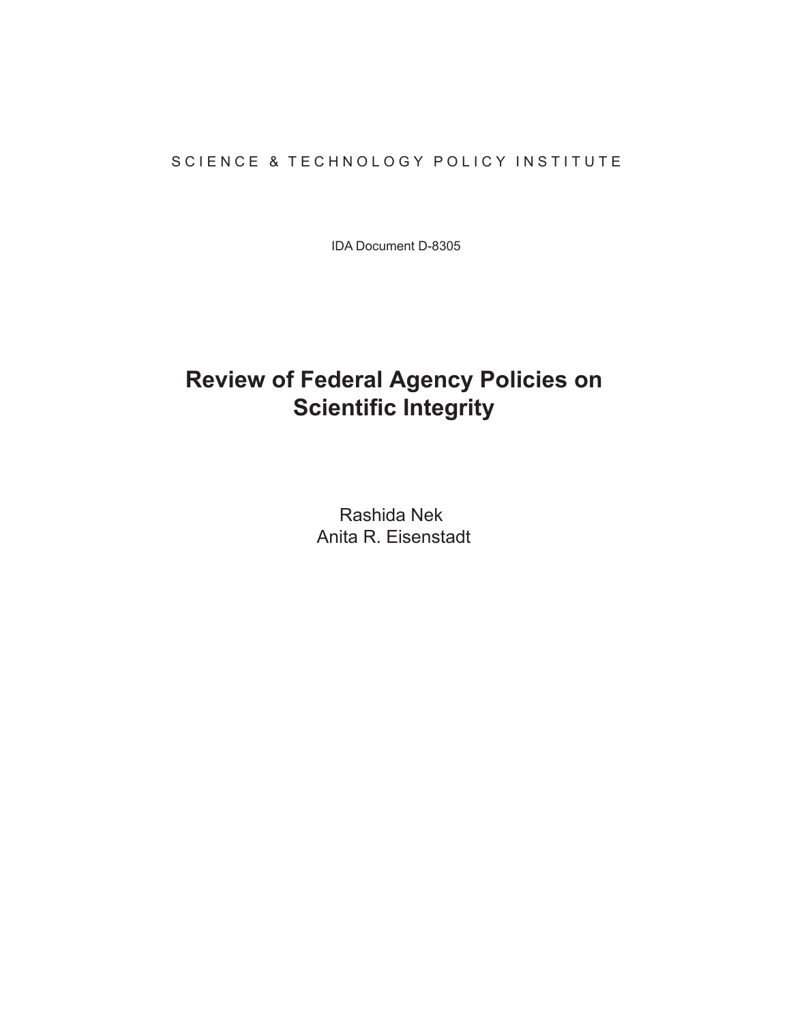#### SCIENCE & TECHNOLOGY POLICY INSTITUTE

IDA Document D-8305

# **Review of Federal Agency Policies on Scientific Integrity**

Rashida Nek Anita R. Eisenstadt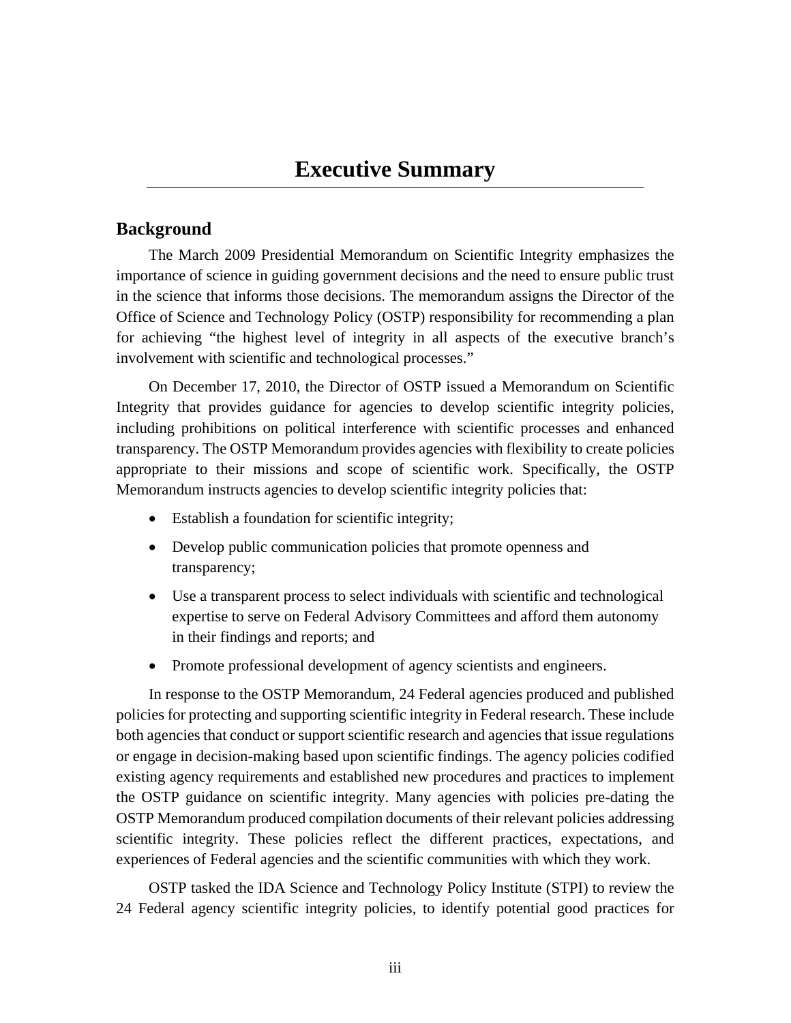#### **Background**

The March 2009 Presidential Memorandum on Scientific Integrity emphasizes the importance of science in guiding government decisions and the need to ensure public trust in the science that informs those decisions. The memorandum assigns the Director of the Office of Science and Technology Policy (OSTP) responsibility for recommending a plan for achieving "the highest level of integrity in all aspects of the executive branch's involvement with scientific and technological processes."

On December 17, 2010, the Director of OSTP issued a Memorandum on Scientific Integrity that provides guidance for agencies to develop scientific integrity policies, including prohibitions on political interference with scientific processes and enhanced transparency. The OSTP Memorandum provides agencies with flexibility to create policies appropriate to their missions and scope of scientific work. Specifically, the OSTP Memorandum instructs agencies to develop scientific integrity policies that:

- Establish a foundation for scientific integrity;
- Develop public communication policies that promote openness and transparency;
- Use a transparent process to select individuals with scientific and technological expertise to serve on Federal Advisory Committees and afford them autonomy in their findings and reports; and
- Promote professional development of agency scientists and engineers.

In response to the OSTP Memorandum, 24 Federal agencies produced and published policies for protecting and supporting scientific integrity in Federal research. These include both agencies that conduct or support scientific research and agencies that issue regulations or engage in decision-making based upon scientific findings. The agency policies codified existing agency requirements and established new procedures and practices to implement the OSTP guidance on scientific integrity. Many agencies with policies pre-dating the OSTP Memorandum produced compilation documents of their relevant policies addressing scientific integrity. These policies reflect the different practices, expectations, and experiences of Federal agencies and the scientific communities with which they work.

OSTP tasked the IDA Science and Technology Policy Institute (STPI) to review the 24 Federal agency scientific integrity policies, to identify potential good practices for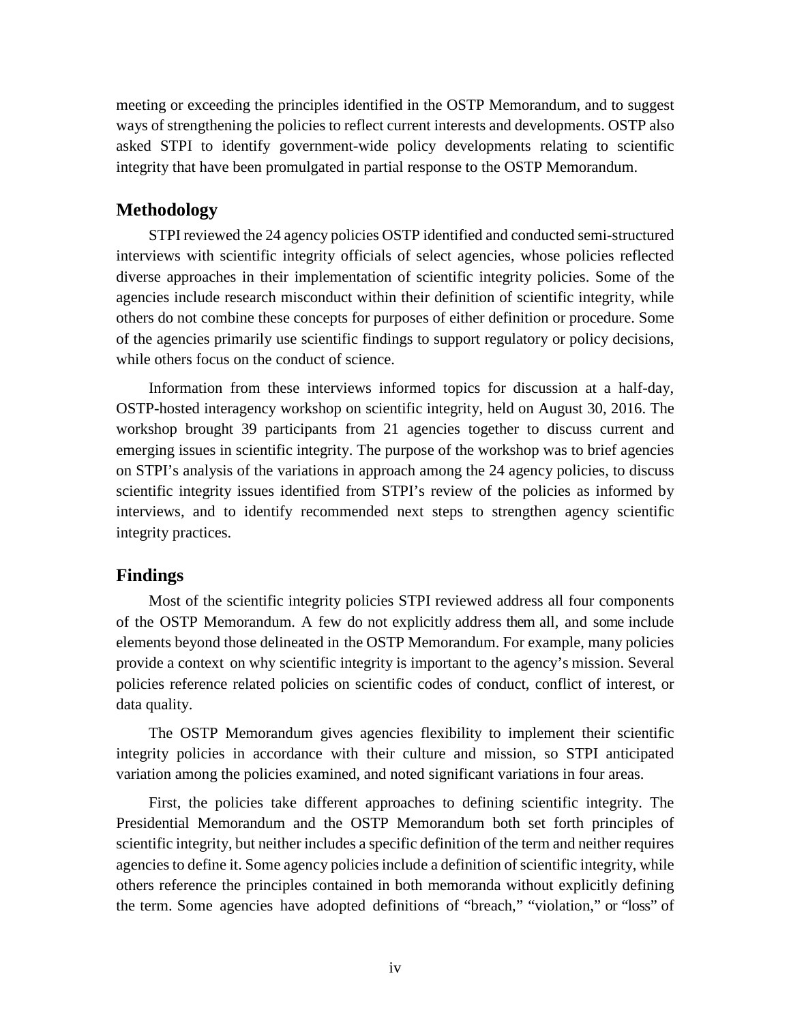meeting or exceeding the principles identified in the OSTP Memorandum, and to suggest ways of strengthening the policies to reflect current interests and developments. OSTP also asked STPI to identify government-wide policy developments relating to scientific integrity that have been promulgated in partial response to the OSTP Memorandum.

#### **Methodology**

STPI reviewed the 24 agency policies OSTP identified and conducted semi-structured interviews with scientific integrity officials of select agencies, whose policies reflected diverse approaches in their implementation of scientific integrity policies. Some of the agencies include research misconduct within their definition of scientific integrity, while others do not combine these concepts for purposes of either definition or procedure. Some of the agencies primarily use scientific findings to support regulatory or policy decisions, while others focus on the conduct of science.

Information from these interviews informed topics for discussion at a half-day, OSTP-hosted interagency workshop on scientific integrity, held on August 30, 2016. The workshop brought 39 participants from 21 agencies together to discuss current and emerging issues in scientific integrity. The purpose of the workshop was to brief agencies on STPI's analysis of the variations in approach among the 24 agency policies, to discuss scientific integrity issues identified from STPI's review of the policies as informed by interviews, and to identify recommended next steps to strengthen agency scientific integrity practices.

#### **Findings**

Most of the scientific integrity policies STPI reviewed address all four components of the OSTP Memorandum. A few do not explicitly address them all, and some include elements beyond those delineated in the OSTP Memorandum. For example, many policies provide a context on why scientific integrity is important to the agency's mission. Several policies reference related policies on scientific codes of conduct, conflict of interest, or data quality.

The OSTP Memorandum gives agencies flexibility to implement their scientific integrity policies in accordance with their culture and mission, so STPI anticipated variation among the policies examined, and noted significant variations in four areas.

First, the policies take different approaches to defining scientific integrity. The Presidential Memorandum and the OSTP Memorandum both set forth principles of scientific integrity, but neither includes a specific definition of the term and neither requires agencies to define it. Some agency policies include a definition of scientific integrity, while others reference the principles contained in both memoranda without explicitly defining the term. Some agencies have adopted definitions of "breach," "violation," or "loss" of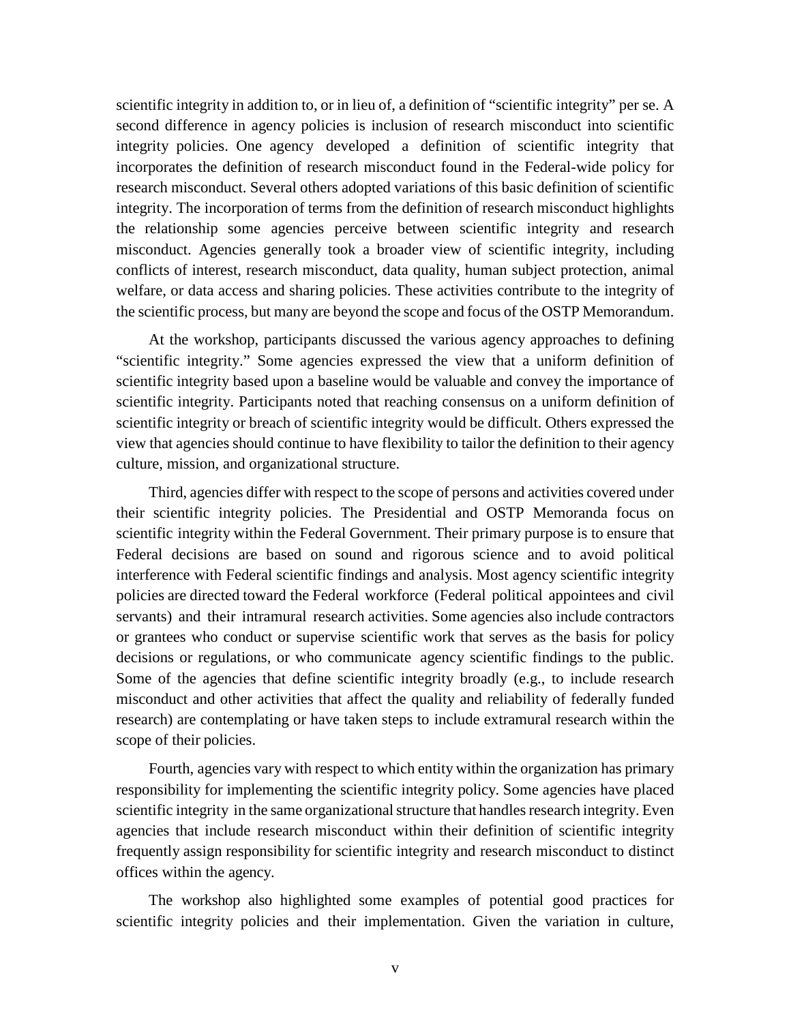scientific integrity in addition to, or in lieu of, a definition of "scientific integrity" per se. A second difference in agency policies is inclusion of research misconduct into scientific integrity policies. One agency developed a definition of scientific integrity that incorporates the definition of research misconduct found in the Federal-wide policy for research misconduct. Several others adopted variations of this basic definition of scientific integrity. The incorporation of terms from the definition of research misconduct highlights the relationship some agencies perceive between scientific integrity and research misconduct. Agencies generally took a broader view of scientific integrity, including conflicts of interest, research misconduct, data quality, human subject protection, animal welfare, or data access and sharing policies. These activities contribute to the integrity of the scientific process, but many are beyond the scope and focus of the OSTP Memorandum.

At the workshop, participants discussed the various agency approaches to defining "scientific integrity." Some agencies expressed the view that a uniform definition of scientific integrity based upon a baseline would be valuable and convey the importance of scientific integrity. Participants noted that reaching consensus on a uniform definition of scientific integrity or breach of scientific integrity would be difficult. Others expressed the view that agencies should continue to have flexibility to tailor the definition to their agency culture, mission, and organizational structure.

Third, agencies differ with respect to the scope of persons and activities covered under their scientific integrity policies. The Presidential and OSTP Memoranda focus on scientific integrity within the Federal Government. Their primary purpose is to ensure that Federal decisions are based on sound and rigorous science and to avoid political interference with Federal scientific findings and analysis. Most agency scientific integrity policies are directed toward the Federal workforce (Federal political appointees and civil servants) and their intramural research activities. Some agencies also include contractors or grantees who conduct or supervise scientific work that serves as the basis for policy decisions or regulations, or who communicate agency scientific findings to the public. Some of the agencies that define scientific integrity broadly (e.g., to include research misconduct and other activities that affect the quality and reliability of federally funded research) are contemplating or have taken steps to include extramural research within the scope of their policies.

Fourth, agencies vary with respect to which entity within the organization has primary responsibility for implementing the scientific integrity policy. Some agencies have placed scientific integrity in the same organizational structure that handles research integrity. Even agencies that include research misconduct within their definition of scientific integrity frequently assign responsibility for scientific integrity and research misconduct to distinct offices within the agency.

The workshop also highlighted some examples of potential good practices for scientific integrity policies and their implementation. Given the variation in culture,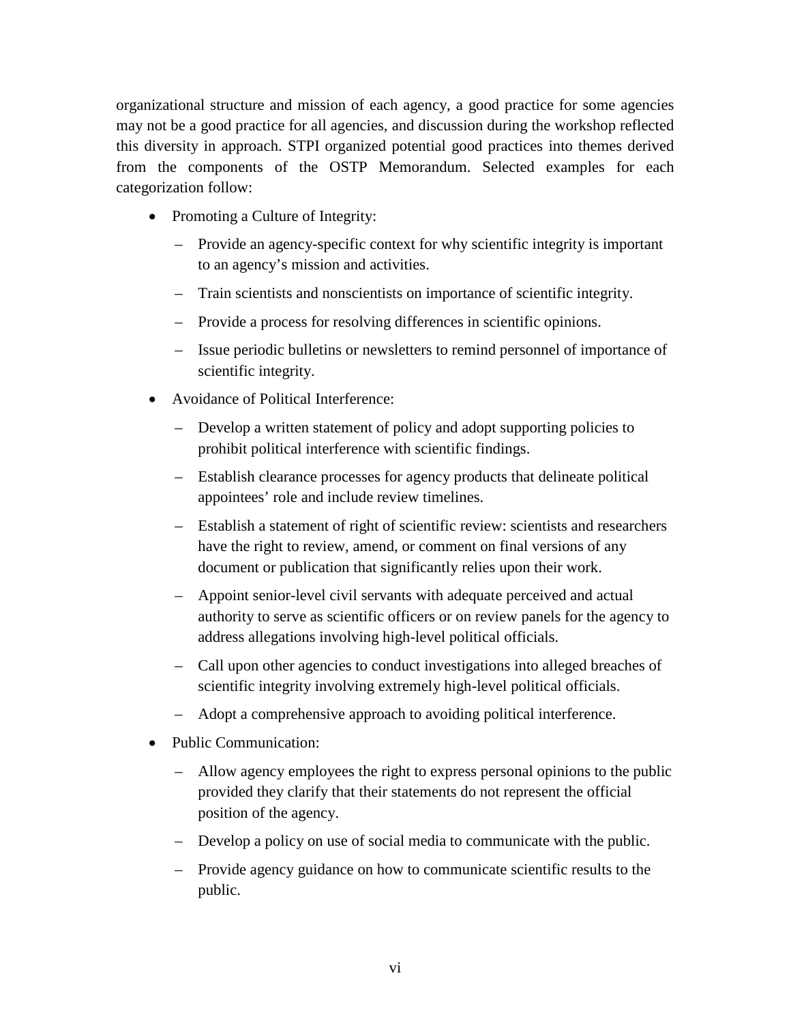organizational structure and mission of each agency, a good practice for some agencies may not be a good practice for all agencies, and discussion during the workshop reflected this diversity in approach. STPI organized potential good practices into themes derived from the components of the OSTP Memorandum. Selected examples for each categorization follow:

- Promoting a Culture of Integrity:
	- Provide an agency-specific context for why scientific integrity is important to an agency's mission and activities.
	- Train scientists and nonscientists on importance of scientific integrity.
	- Provide a process for resolving differences in scientific opinions.
	- Issue periodic bulletins or newsletters to remind personnel of importance of scientific integrity.
- Avoidance of Political Interference:
	- Develop a written statement of policy and adopt supporting policies to prohibit political interference with scientific findings.
	- Establish clearance processes for agency products that delineate political appointees' role and include review timelines.
	- Establish a statement of right of scientific review: scientists and researchers have the right to review, amend, or comment on final versions of any document or publication that significantly relies upon their work.
	- Appoint senior-level civil servants with adequate perceived and actual authority to serve as scientific officers or on review panels for the agency to address allegations involving high-level political officials.
	- Call upon other agencies to conduct investigations into alleged breaches of scientific integrity involving extremely high-level political officials.
	- Adopt a comprehensive approach to avoiding political interference.
- Public Communication:
	- Allow agency employees the right to express personal opinions to the public provided they clarify that their statements do not represent the official position of the agency.
	- Develop a policy on use of social media to communicate with the public.
	- Provide agency guidance on how to communicate scientific results to the public.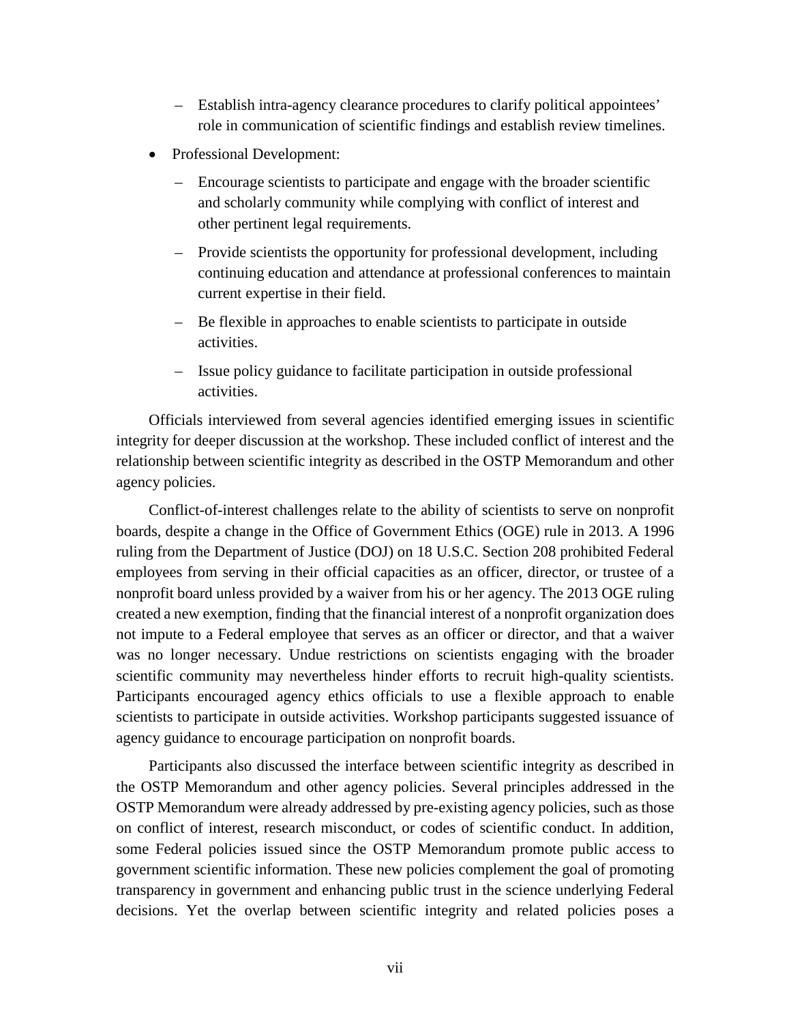- Establish intra-agency clearance procedures to clarify political appointees' role in communication of scientific findings and establish review timelines.
- Professional Development:
	- Encourage scientists to participate and engage with the broader scientific and scholarly community while complying with conflict of interest and other pertinent legal requirements.
	- Provide scientists the opportunity for professional development, including continuing education and attendance at professional conferences to maintain current expertise in their field.
	- Be flexible in approaches to enable scientists to participate in outside activities.
	- Issue policy guidance to facilitate participation in outside professional activities.

Officials interviewed from several agencies identified emerging issues in scientific integrity for deeper discussion at the workshop. These included conflict of interest and the relationship between scientific integrity as described in the OSTP Memorandum and other agency policies.

Conflict-of-interest challenges relate to the ability of scientists to serve on nonprofit boards, despite a change in the Office of Government Ethics (OGE) rule in 2013. A 1996 ruling from the Department of Justice (DOJ) on 18 U.S.C. Section 208 prohibited Federal employees from serving in their official capacities as an officer, director, or trustee of a nonprofit board unless provided by a waiver from his or her agency. The 2013 OGE ruling created a new exemption, finding that the financial interest of a nonprofit organization does not impute to a Federal employee that serves as an officer or director, and that a waiver was no longer necessary. Undue restrictions on scientists engaging with the broader scientific community may nevertheless hinder efforts to recruit high-quality scientists. Participants encouraged agency ethics officials to use a flexible approach to enable scientists to participate in outside activities. Workshop participants suggested issuance of agency guidance to encourage participation on nonprofit boards.

Participants also discussed the interface between scientific integrity as described in the OSTP Memorandum and other agency policies. Several principles addressed in the OSTP Memorandum were already addressed by pre-existing agency policies, such as those on conflict of interest, research misconduct, or codes of scientific conduct. In addition, some Federal policies issued since the OSTP Memorandum promote public access to government scientific information. These new policies complement the goal of promoting transparency in government and enhancing public trust in the science underlying Federal decisions. Yet the overlap between scientific integrity and related policies poses a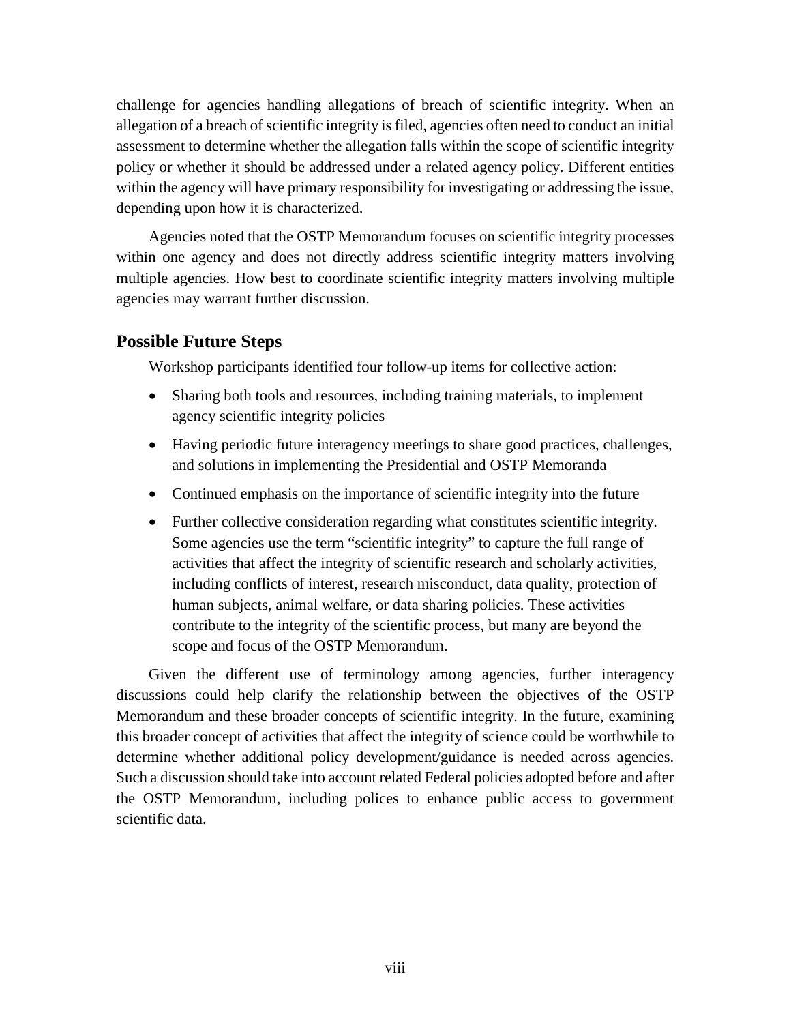challenge for agencies handling allegations of breach of scientific integrity. When an allegation of a breach of scientific integrity is filed, agencies often need to conduct an initial assessment to determine whether the allegation falls within the scope of scientific integrity policy or whether it should be addressed under a related agency policy. Different entities within the agency will have primary responsibility for investigating or addressing the issue, depending upon how it is characterized.

Agencies noted that the OSTP Memorandum focuses on scientific integrity processes within one agency and does not directly address scientific integrity matters involving multiple agencies. How best to coordinate scientific integrity matters involving multiple agencies may warrant further discussion.

#### **Possible Future Steps**

Workshop participants identified four follow-up items for collective action:

- Sharing both tools and resources, including training materials, to implement agency scientific integrity policies
- Having periodic future interagency meetings to share good practices, challenges, and solutions in implementing the Presidential and OSTP Memoranda
- Continued emphasis on the importance of scientific integrity into the future
- Further collective consideration regarding what constitutes scientific integrity. Some agencies use the term "scientific integrity" to capture the full range of activities that affect the integrity of scientific research and scholarly activities, including conflicts of interest, research misconduct, data quality, protection of human subjects, animal welfare, or data sharing policies. These activities contribute to the integrity of the scientific process, but many are beyond the scope and focus of the OSTP Memorandum.

Given the different use of terminology among agencies, further interagency discussions could help clarify the relationship between the objectives of the OSTP Memorandum and these broader concepts of scientific integrity. In the future, examining this broader concept of activities that affect the integrity of science could be worthwhile to determine whether additional policy development/guidance is needed across agencies. Such a discussion should take into account related Federal policies adopted before and after the OSTP Memorandum, including polices to enhance public access to government scientific data.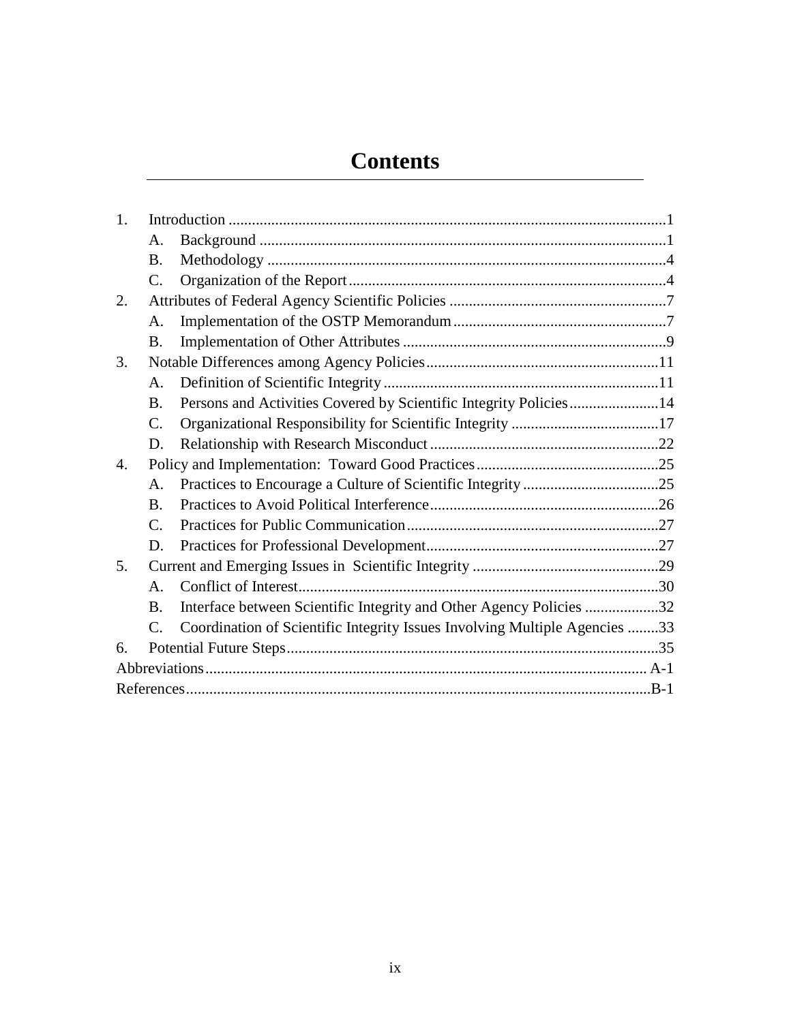# **Contents**

| 1. |                 |                                                                            |
|----|-----------------|----------------------------------------------------------------------------|
|    | A.              |                                                                            |
|    | <b>B.</b>       |                                                                            |
|    | $\mathcal{C}$ . |                                                                            |
| 2. |                 |                                                                            |
|    | A.              |                                                                            |
|    | <b>B.</b>       |                                                                            |
| 3. |                 |                                                                            |
|    | A.              |                                                                            |
|    | <b>B.</b>       | Persons and Activities Covered by Scientific Integrity Policies14          |
|    | $\mathcal{C}$ . |                                                                            |
|    | D.              |                                                                            |
| 4. |                 |                                                                            |
|    | A.              |                                                                            |
|    | <b>B.</b>       |                                                                            |
|    | $\mathcal{C}$ . |                                                                            |
|    | D.              |                                                                            |
| 5. |                 |                                                                            |
|    | $\mathsf{A}$ .  |                                                                            |
|    | <b>B.</b>       | Interface between Scientific Integrity and Other Agency Policies 32        |
|    | C.              | Coordination of Scientific Integrity Issues Involving Multiple Agencies 33 |
| 6. |                 |                                                                            |
|    |                 |                                                                            |
|    |                 |                                                                            |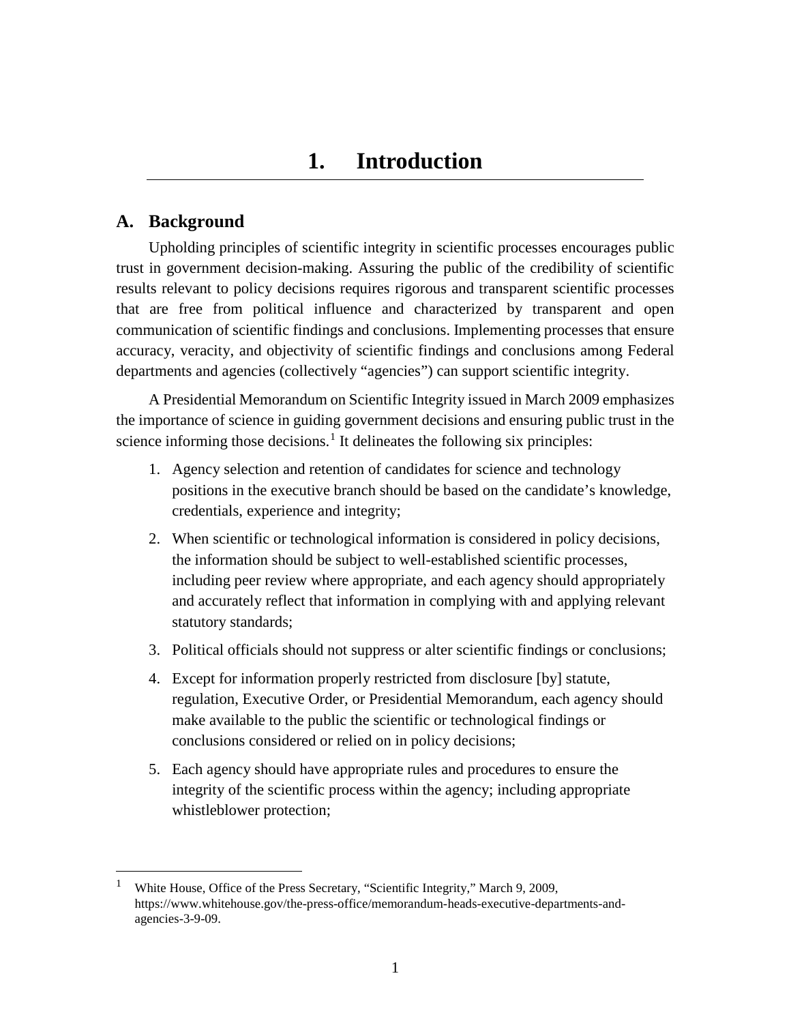### **1. Introduction**

#### <span id="page-12-1"></span><span id="page-12-0"></span>**A. Background**

Upholding principles of scientific integrity in scientific processes encourages public trust in government decision-making. Assuring the public of the credibility of scientific results relevant to policy decisions requires rigorous and transparent scientific processes that are free from political influence and characterized by transparent and open communication of scientific findings and conclusions. Implementing processes that ensure accuracy, veracity, and objectivity of scientific findings and conclusions among Federal departments and agencies (collectively "agencies") can support scientific integrity.

A Presidential Memorandum on Scientific Integrity issued in March 2009 emphasizes the importance of science in guiding government decisions and ensuring public trust in the science informing those decisions.<sup>[1](#page-12-2)</sup> It delineates the following six principles:

- 1. Agency selection and retention of candidates for science and technology positions in the executive branch should be based on the candidate's knowledge, credentials, experience and integrity;
- 2. When scientific or technological information is considered in policy decisions, the information should be subject to well-established scientific processes, including peer review where appropriate, and each agency should appropriately and accurately reflect that information in complying with and applying relevant statutory standards;
- 3. Political officials should not suppress or alter scientific findings or conclusions;
- 4. Except for information properly restricted from disclosure [by] statute, regulation, Executive Order, or Presidential Memorandum, each agency should make available to the public the scientific or technological findings or conclusions considered or relied on in policy decisions;
- 5. Each agency should have appropriate rules and procedures to ensure the integrity of the scientific process within the agency; including appropriate whistleblower protection;

<span id="page-12-2"></span><sup>1</sup> White House, Office of the Press Secretary, "Scientific Integrity," March 9, 2009, https://www.whitehouse.gov/the-press-office/memorandum-heads-executive-departments-andagencies-3-9-09.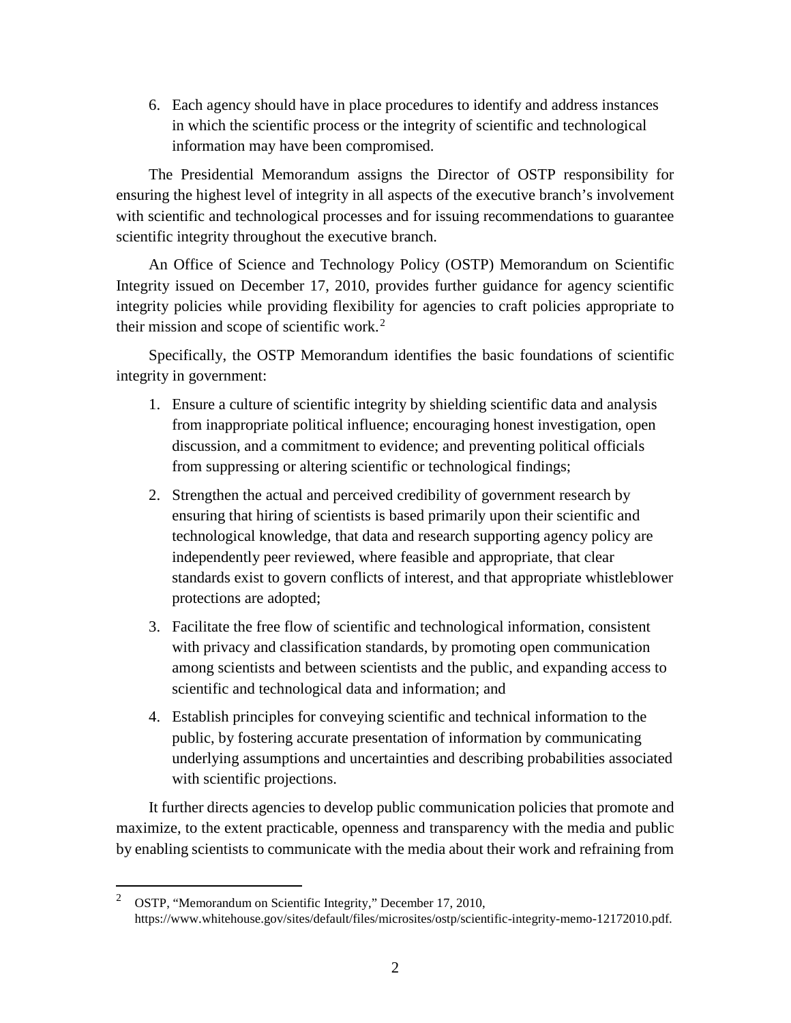6. Each agency should have in place procedures to identify and address instances in which the scientific process or the integrity of scientific and technological information may have been compromised.

The Presidential Memorandum assigns the Director of OSTP responsibility for ensuring the highest level of integrity in all aspects of the executive branch's involvement with scientific and technological processes and for issuing recommendations to guarantee scientific integrity throughout the executive branch.

An Office of Science and Technology Policy (OSTP) Memorandum on Scientific Integrity issued on December 17, 2010, provides further guidance for agency scientific integrity policies while providing flexibility for agencies to craft policies appropriate to their mission and scope of scientific work.<sup>[2](#page-13-0)</sup>

Specifically, the OSTP Memorandum identifies the basic foundations of scientific integrity in government:

- 1. Ensure a culture of scientific integrity by shielding scientific data and analysis from inappropriate political influence; encouraging honest investigation, open discussion, and a commitment to evidence; and preventing political officials from suppressing or altering scientific or technological findings;
- 2. Strengthen the actual and perceived credibility of government research by ensuring that hiring of scientists is based primarily upon their scientific and technological knowledge, that data and research supporting agency policy are independently peer reviewed, where feasible and appropriate, that clear standards exist to govern conflicts of interest, and that appropriate whistleblower protections are adopted;
- 3. Facilitate the free flow of scientific and technological information, consistent with privacy and classification standards, by promoting open communication among scientists and between scientists and the public, and expanding access to scientific and technological data and information; and
- 4. Establish principles for conveying scientific and technical information to the public, by fostering accurate presentation of information by communicating underlying assumptions and uncertainties and describing probabilities associated with scientific projections.

It further directs agencies to develop public communication policies that promote and maximize, to the extent practicable, openness and transparency with the media and public by enabling scientists to communicate with the media about their work and refraining from

<span id="page-13-0"></span><sup>&</sup>lt;sup>2</sup> OSTP, "Memorandum on Scientific Integrity," December 17, 2010, https://www.whitehouse.gov/sites/default/files/microsites/ostp/scientific-integrity-memo-12172010.pdf.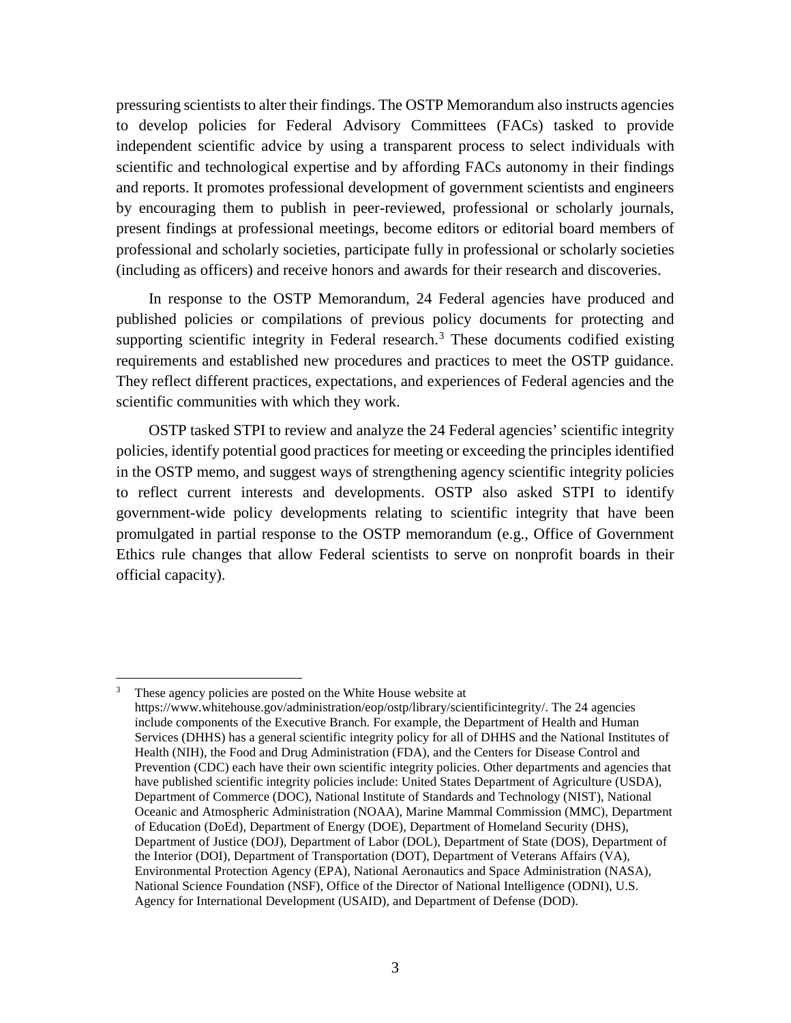pressuring scientists to alter their findings. The OSTP Memorandum also instructs agencies to develop policies for Federal Advisory Committees (FACs) tasked to provide independent scientific advice by using a transparent process to select individuals with scientific and technological expertise and by affording FACs autonomy in their findings and reports. It promotes professional development of government scientists and engineers by encouraging them to publish in peer-reviewed, professional or scholarly journals, present findings at professional meetings, become editors or editorial board members of professional and scholarly societies, participate fully in professional or scholarly societies (including as officers) and receive honors and awards for their research and discoveries.

In response to the OSTP Memorandum, 24 Federal agencies have produced and published policies or compilations of previous policy documents for protecting and supporting scientific integrity in Federal research.<sup>[3](#page-14-0)</sup> These documents codified existing requirements and established new procedures and practices to meet the OSTP guidance. They reflect different practices, expectations, and experiences of Federal agencies and the scientific communities with which they work.

OSTP tasked STPI to review and analyze the 24 Federal agencies' scientific integrity policies, identify potential good practices for meeting or exceeding the principles identified in the OSTP memo, and suggest ways of strengthening agency scientific integrity policies to reflect current interests and developments. OSTP also asked STPI to identify government-wide policy developments relating to scientific integrity that have been promulgated in partial response to the OSTP memorandum (e.g., Office of Government Ethics rule changes that allow Federal scientists to serve on nonprofit boards in their official capacity).

<span id="page-14-0"></span>These agency policies are posted on the White House website at [https://www.whitehouse.gov/administration/eop/ostp/library/scientificintegrity/](https://www.whitehouse.gov/administration/eop/ostp/library/scientificintegrity). The 24 agencies include components of the Executive Branch. For example, the Department of Health and Human Services (DHHS) has a general scientific integrity policy for all of DHHS and the National Institutes of Health (NIH), the Food and Drug Administration (FDA), and the Centers for Disease Control and Prevention (CDC) each have their own scientific integrity policies. Other departments and agencies that have published scientific integrity policies include: United States Department of Agriculture (USDA), Department of Commerce (DOC), National Institute of Standards and Technology (NIST), National Oceanic and Atmospheric Administration (NOAA), Marine Mammal Commission (MMC), Department of Education (DoEd), Department of Energy (DOE), Department of Homeland Security (DHS), Department of Justice (DOJ), Department of Labor (DOL), Department of State (DOS), Department of the Interior (DOI), Department of Transportation (DOT), Department of Veterans Affairs (VA), Environmental Protection Agency (EPA), National Aeronautics and Space Administration (NASA), National Science Foundation (NSF), Office of the Director of National Intelligence (ODNI), U.S. Agency for International Development (USAID), and Department of Defense (DOD).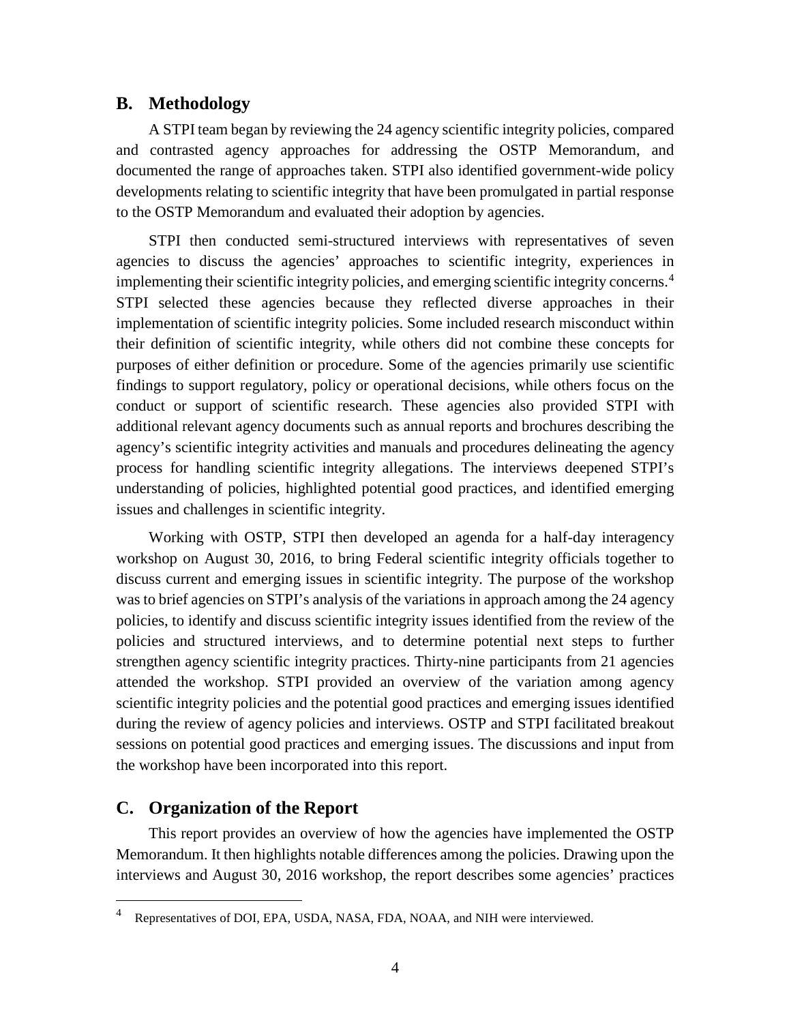#### <span id="page-15-0"></span>**B. Methodology**

A STPI team began by reviewing the 24 agency scientific integrity policies, compared and contrasted agency approaches for addressing the OSTP Memorandum, and documented the range of approaches taken. STPI also identified government-wide policy developments relating to scientific integrity that have been promulgated in partial response to the OSTP Memorandum and evaluated their adoption by agencies.

STPI then conducted semi-structured interviews with representatives of seven agencies to discuss the agencies' approaches to scientific integrity, experiences in implementing their scientific integrity policies, and emerging scientific integrity concerns.[4](#page-15-2) STPI selected these agencies because they reflected diverse approaches in their implementation of scientific integrity policies. Some included research misconduct within their definition of scientific integrity, while others did not combine these concepts for purposes of either definition or procedure. Some of the agencies primarily use scientific findings to support regulatory, policy or operational decisions, while others focus on the conduct or support of scientific research. These agencies also provided STPI with additional relevant agency documents such as annual reports and brochures describing the agency's scientific integrity activities and manuals and procedures delineating the agency process for handling scientific integrity allegations. The interviews deepened STPI's understanding of policies, highlighted potential good practices, and identified emerging issues and challenges in scientific integrity.

Working with OSTP, STPI then developed an agenda for a half-day interagency workshop on August 30, 2016, to bring Federal scientific integrity officials together to discuss current and emerging issues in scientific integrity. The purpose of the workshop was to brief agencies on STPI's analysis of the variations in approach among the 24 agency policies, to identify and discuss scientific integrity issues identified from the review of the policies and structured interviews, and to determine potential next steps to further strengthen agency scientific integrity practices. Thirty-nine participants from 21 agencies attended the workshop. STPI provided an overview of the variation among agency scientific integrity policies and the potential good practices and emerging issues identified during the review of agency policies and interviews. OSTP and STPI facilitated breakout sessions on potential good practices and emerging issues. The discussions and input from the workshop have been incorporated into this report.

#### <span id="page-15-1"></span>**C. Organization of the Report**

This report provides an overview of how the agencies have implemented the OSTP Memorandum. It then highlights notable differences among the policies. Drawing upon the interviews and August 30, 2016 workshop, the report describes some agencies' practices

<span id="page-15-2"></span><sup>&</sup>lt;sup>4</sup> Representatives of DOI, EPA, USDA, NASA, FDA, NOAA, and NIH were interviewed.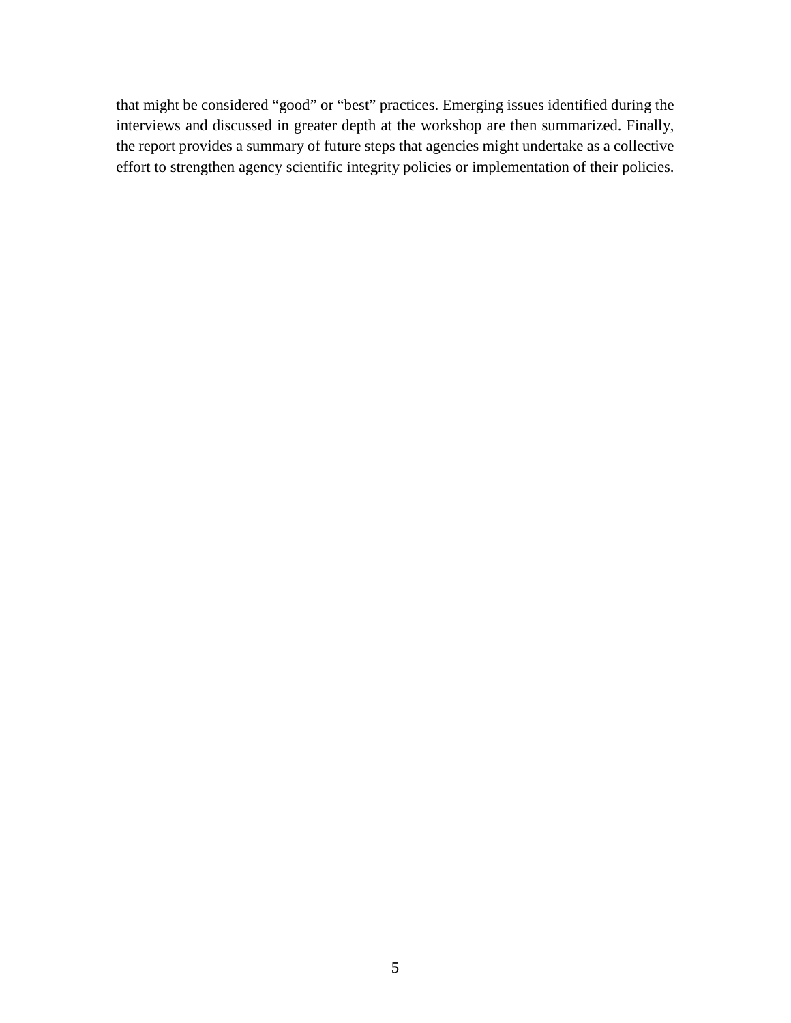that might be considered "good" or "best" practices. Emerging issues identified during the interviews and discussed in greater depth at the workshop are then summarized. Finally, the report provides a summary of future steps that agencies might undertake as a collective effort to strengthen agency scientific integrity policies or implementation of their policies.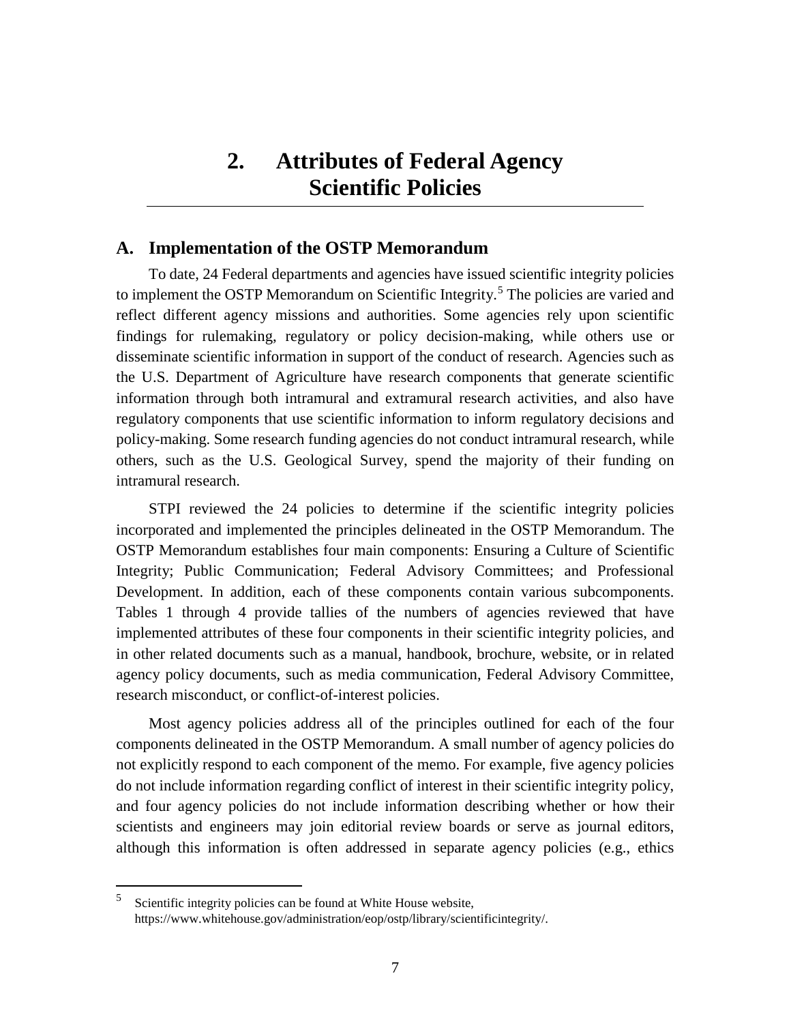### <span id="page-18-0"></span>**2. Attributes of Federal Agency Scientific Policies**

#### <span id="page-18-1"></span>**A. Implementation of the OSTP Memorandum**

To date, 24 Federal departments and agencies have issued scientific integrity policies to implement the OSTP Memorandum on Scientific Integrity.<sup>[5](#page-18-2)</sup> The policies are varied and reflect different agency missions and authorities. Some agencies rely upon scientific findings for rulemaking, regulatory or policy decision-making, while others use or disseminate scientific information in support of the conduct of research. Agencies such as the U.S. Department of Agriculture have research components that generate scientific information through both intramural and extramural research activities, and also have regulatory components that use scientific information to inform regulatory decisions and policy-making. Some research funding agencies do not conduct intramural research, while others, such as the U.S. Geological Survey, spend the majority of their funding on intramural research.

STPI reviewed the 24 policies to determine if the scientific integrity policies incorporated and implemented the principles delineated in the OSTP Memorandum. The OSTP Memorandum establishes four main components: Ensuring a Culture of Scientific Integrity; Public Communication; Federal Advisory Committees; and Professional Development. In addition, each of these components contain various subcomponents. Tables 1 through 4 provide tallies of the numbers of agencies reviewed that have implemented attributes of these four components in their scientific integrity policies, and in other related documents such as a manual, handbook, brochure, website, or in related agency policy documents, such as media communication, Federal Advisory Committee, research misconduct, or conflict-of-interest policies.

Most agency policies address all of the principles outlined for each of the four components delineated in the OSTP Memorandum. A small number of agency policies do not explicitly respond to each component of the memo. For example, five agency policies do not include information regarding conflict of interest in their scientific integrity policy, and four agency policies do not include information describing whether or how their scientists and engineers may join editorial review boards or serve as journal editors, although this information is often addressed in separate agency policies (e.g., ethics

<span id="page-18-2"></span> $5$  Scientific integrity policies can be found at White House website, [https://www.whitehouse.gov/administration/eop/ostp/library/scientificintegrity/](https://www.whitehouse.gov/administration/eop/ostp/library/scientificintegrity).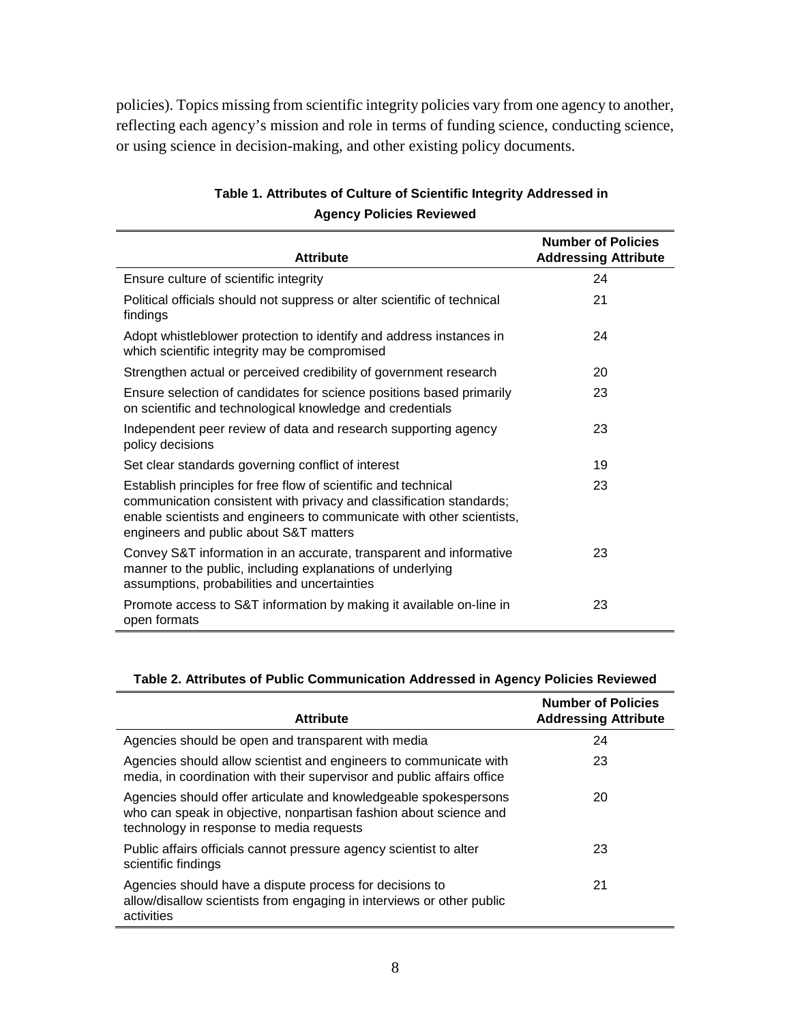policies). Topics missing from scientific integrity policies vary from one agency to another, reflecting each agency's mission and role in terms of funding science, conducting science, or using science in decision-making, and other existing policy documents.

| <b>Attribute</b>                                                                                                                                                                                                                                         | <b>Number of Policies</b><br><b>Addressing Attribute</b> |
|----------------------------------------------------------------------------------------------------------------------------------------------------------------------------------------------------------------------------------------------------------|----------------------------------------------------------|
| Ensure culture of scientific integrity                                                                                                                                                                                                                   | 24                                                       |
| Political officials should not suppress or alter scientific of technical<br>findings                                                                                                                                                                     | 21                                                       |
| Adopt whistleblower protection to identify and address instances in<br>which scientific integrity may be compromised                                                                                                                                     | 24                                                       |
| Strengthen actual or perceived credibility of government research                                                                                                                                                                                        | 20                                                       |
| Ensure selection of candidates for science positions based primarily<br>on scientific and technological knowledge and credentials                                                                                                                        | 23                                                       |
| Independent peer review of data and research supporting agency<br>policy decisions                                                                                                                                                                       | 23                                                       |
| Set clear standards governing conflict of interest                                                                                                                                                                                                       | 19                                                       |
| Establish principles for free flow of scientific and technical<br>communication consistent with privacy and classification standards;<br>enable scientists and engineers to communicate with other scientists,<br>engineers and public about S&T matters | 23                                                       |
| Convey S&T information in an accurate, transparent and informative<br>manner to the public, including explanations of underlying<br>assumptions, probabilities and uncertainties                                                                         | 23                                                       |
| Promote access to S&T information by making it available on-line in<br>open formats                                                                                                                                                                      | 23                                                       |

#### **Table 1. Attributes of Culture of Scientific Integrity Addressed in Agency Policies Reviewed**

#### **Table 2. Attributes of Public Communication Addressed in Agency Policies Reviewed**

| <b>Attribute</b>                                                                                                                                                                  | <b>Number of Policies</b><br><b>Addressing Attribute</b> |
|-----------------------------------------------------------------------------------------------------------------------------------------------------------------------------------|----------------------------------------------------------|
| Agencies should be open and transparent with media                                                                                                                                | 24                                                       |
| Agencies should allow scientist and engineers to communicate with<br>media, in coordination with their supervisor and public affairs office                                       | 23                                                       |
| Agencies should offer articulate and knowledgeable spokespersons<br>who can speak in objective, nonpartisan fashion about science and<br>technology in response to media requests | 20                                                       |
| Public affairs officials cannot pressure agency scientist to alter<br>scientific findings                                                                                         | 23                                                       |
| Agencies should have a dispute process for decisions to<br>allow/disallow scientists from engaging in interviews or other public<br>activities                                    | 21                                                       |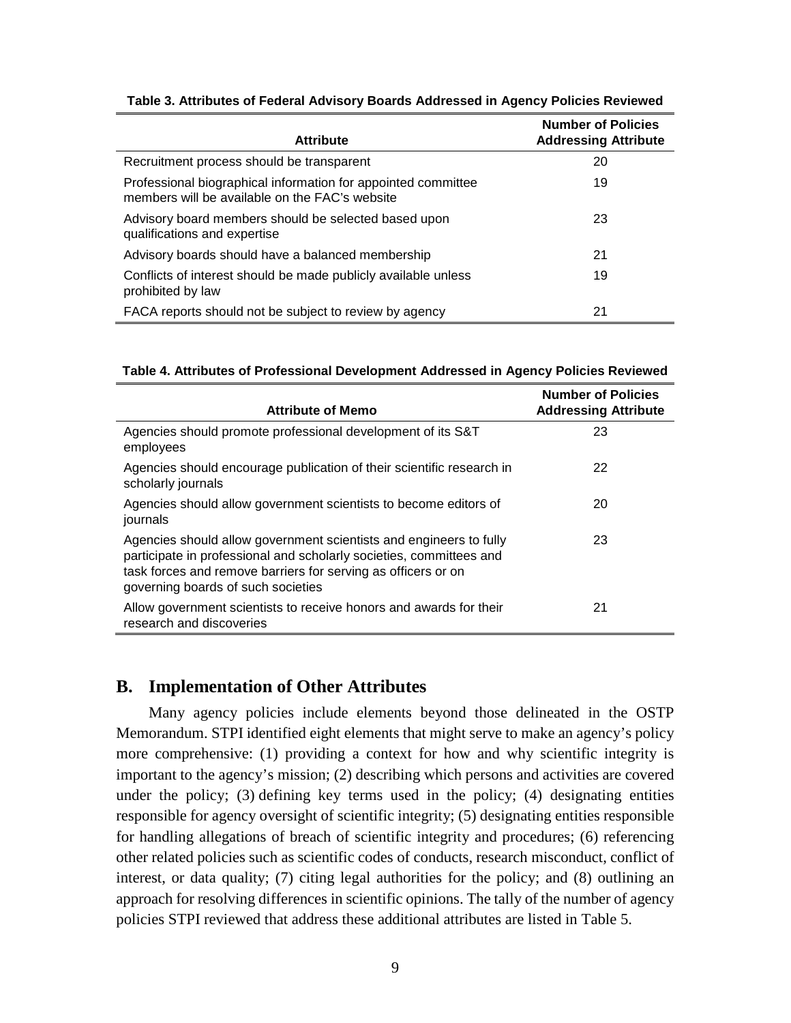| <b>Attribute</b>                                                                                                | <b>Number of Policies</b><br><b>Addressing Attribute</b> |
|-----------------------------------------------------------------------------------------------------------------|----------------------------------------------------------|
| Recruitment process should be transparent                                                                       | 20                                                       |
| Professional biographical information for appointed committee<br>members will be available on the FAC's website | 19                                                       |
| Advisory board members should be selected based upon<br>qualifications and expertise                            | 23                                                       |
| Advisory boards should have a balanced membership                                                               | 21                                                       |
| Conflicts of interest should be made publicly available unless<br>prohibited by law                             | 19                                                       |
| FACA reports should not be subject to review by agency                                                          | 21                                                       |

**Table 3. Attributes of Federal Advisory Boards Addressed in Agency Policies Reviewed**

**Table 4. Attributes of Professional Development Addressed in Agency Policies Reviewed**

| <b>Attribute of Memo</b>                                                                                                                                                                                                                         | <b>Number of Policies</b><br><b>Addressing Attribute</b> |
|--------------------------------------------------------------------------------------------------------------------------------------------------------------------------------------------------------------------------------------------------|----------------------------------------------------------|
| Agencies should promote professional development of its S&T<br>employees                                                                                                                                                                         | 23                                                       |
| Agencies should encourage publication of their scientific research in<br>scholarly journals                                                                                                                                                      | 22                                                       |
| Agencies should allow government scientists to become editors of<br>journals                                                                                                                                                                     | 20                                                       |
| Agencies should allow government scientists and engineers to fully<br>participate in professional and scholarly societies, committees and<br>task forces and remove barriers for serving as officers or on<br>governing boards of such societies | 23                                                       |
| Allow government scientists to receive honors and awards for their<br>research and discoveries                                                                                                                                                   | 21                                                       |

#### <span id="page-20-0"></span>**B. Implementation of Other Attributes**

Many agency policies include elements beyond those delineated in the OSTP Memorandum. STPI identified eight elements that might serve to make an agency's policy more comprehensive: (1) providing a context for how and why scientific integrity is important to the agency's mission; (2) describing which persons and activities are covered under the policy; (3) defining key terms used in the policy; (4) designating entities responsible for agency oversight of scientific integrity; (5) designating entities responsible for handling allegations of breach of scientific integrity and procedures; (6) referencing other related policies such as scientific codes of conducts, research misconduct, conflict of interest, or data quality; (7) citing legal authorities for the policy; and (8) outlining an approach for resolving differences in scientific opinions. The tally of the number of agency policies STPI reviewed that address these additional attributes are listed in Table 5.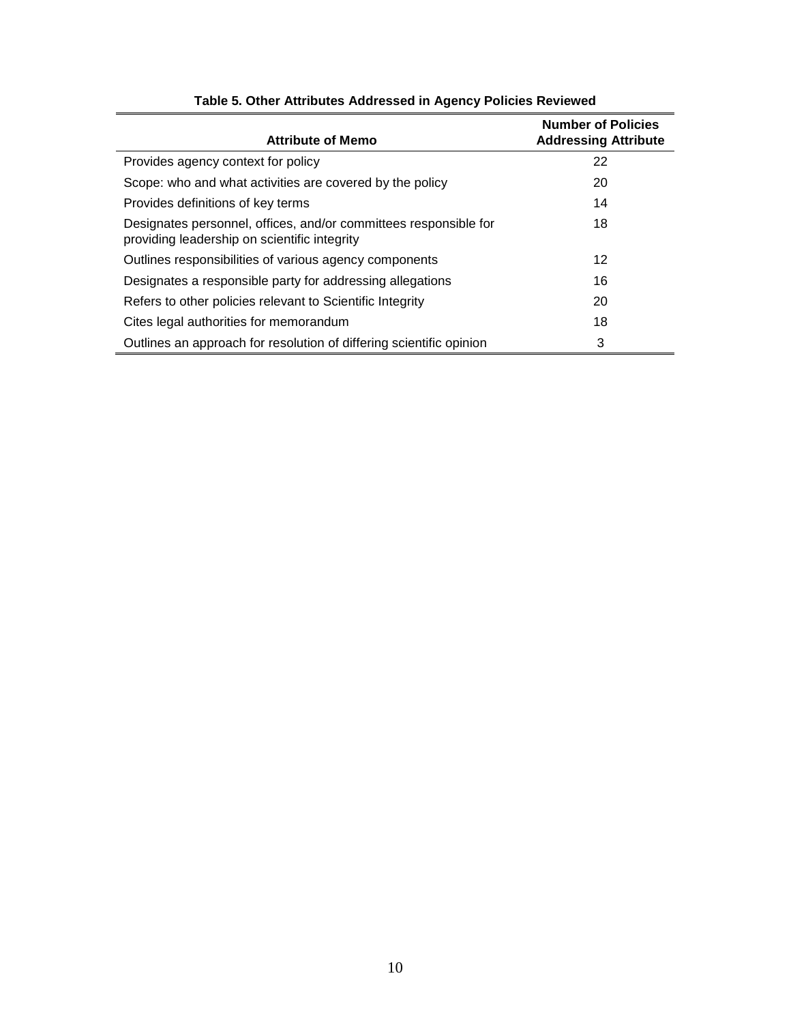| <b>Attribute of Memo</b>                                                                                         | <b>Number of Policies</b><br><b>Addressing Attribute</b> |
|------------------------------------------------------------------------------------------------------------------|----------------------------------------------------------|
| Provides agency context for policy                                                                               | 22                                                       |
| Scope: who and what activities are covered by the policy                                                         | 20                                                       |
| Provides definitions of key terms                                                                                | 14                                                       |
| Designates personnel, offices, and/or committees responsible for<br>providing leadership on scientific integrity | 18                                                       |
| Outlines responsibilities of various agency components                                                           | 12                                                       |
| Designates a responsible party for addressing allegations                                                        | 16                                                       |
| Refers to other policies relevant to Scientific Integrity                                                        | 20                                                       |
| Cites legal authorities for memorandum                                                                           | 18                                                       |
| Outlines an approach for resolution of differing scientific opinion                                              | 3                                                        |

#### **Table 5. Other Attributes Addressed in Agency Policies Reviewed**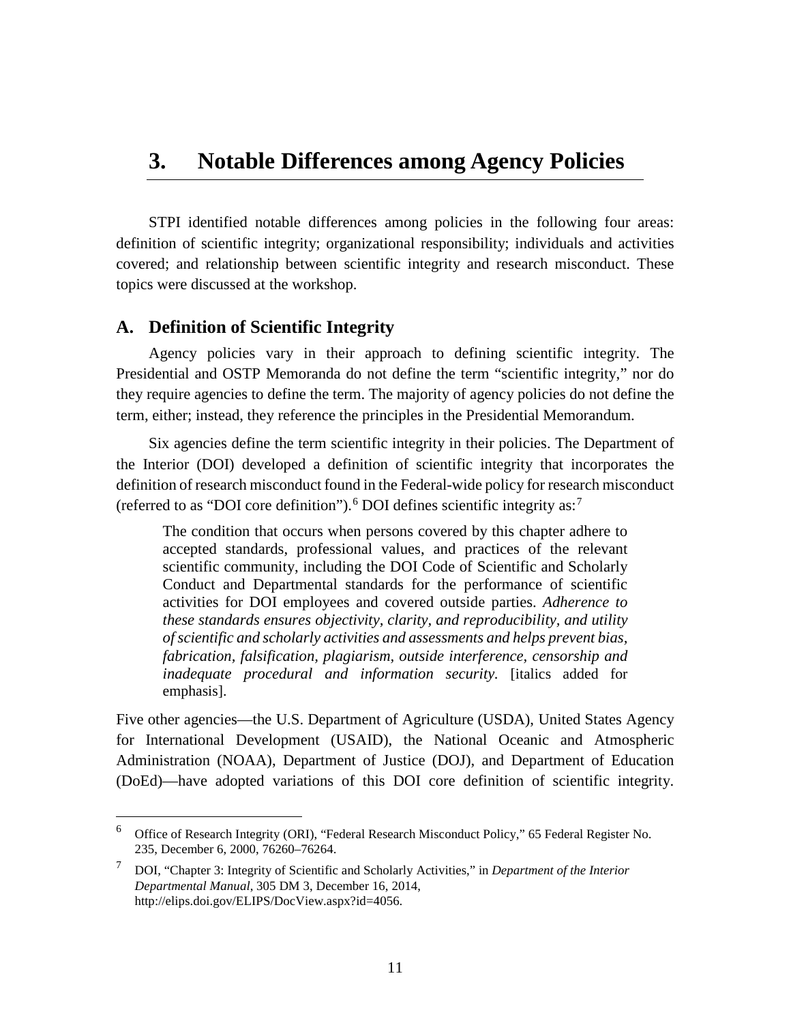### <span id="page-22-0"></span>**3. Notable Differences among Agency Policies**

STPI identified notable differences among policies in the following four areas: definition of scientific integrity; organizational responsibility; individuals and activities covered; and relationship between scientific integrity and research misconduct. These topics were discussed at the workshop.

#### <span id="page-22-1"></span>**A. Definition of Scientific Integrity**

Agency policies vary in their approach to defining scientific integrity. The Presidential and OSTP Memoranda do not define the term "scientific integrity," nor do they require agencies to define the term. The majority of agency policies do not define the term, either; instead, they reference the principles in the Presidential Memorandum.

Six agencies define the term scientific integrity in their policies. The Department of the Interior (DOI) developed a definition of scientific integrity that incorporates the definition of research misconduct found in the Federal-wide policy for research misconduct (referred to as "DOI core definition"). [6](#page-22-2) DOI defines scientific integrity as: [7](#page-22-3)

The condition that occurs when persons covered by this chapter adhere to accepted standards, professional values, and practices of the relevant scientific community, including the DOI Code of Scientific and Scholarly Conduct and Departmental standards for the performance of scientific activities for DOI employees and covered outside parties. *Adherence to these standards ensures objectivity, clarity, and reproducibility, and utility of scientific and scholarly activities and assessments and helps prevent bias, fabrication, falsification, plagiarism, outside interference, censorship and inadequate procedural and information security.* [italics added for emphasis].

Five other agencies—the U.S. Department of Agriculture (USDA), United States Agency for International Development (USAID), the National Oceanic and Atmospheric Administration (NOAA), Department of Justice (DOJ), and Department of Education (DoEd)—have adopted variations of this DOI core definition of scientific integrity.

<span id="page-22-2"></span> <sup>6</sup> Office of Research Integrity (ORI), "Federal Research Misconduct Policy," 65 Federal Register No. 235, December 6, 2000, 76260–76264.

<span id="page-22-3"></span><sup>7</sup> DOI, "Chapter 3: Integrity of Scientific and Scholarly Activities," in *Department of the Interior Departmental Manual*, 305 DM 3, December 16, 2014, http://elips.doi.gov/ELIPS/DocView.aspx?id=4056.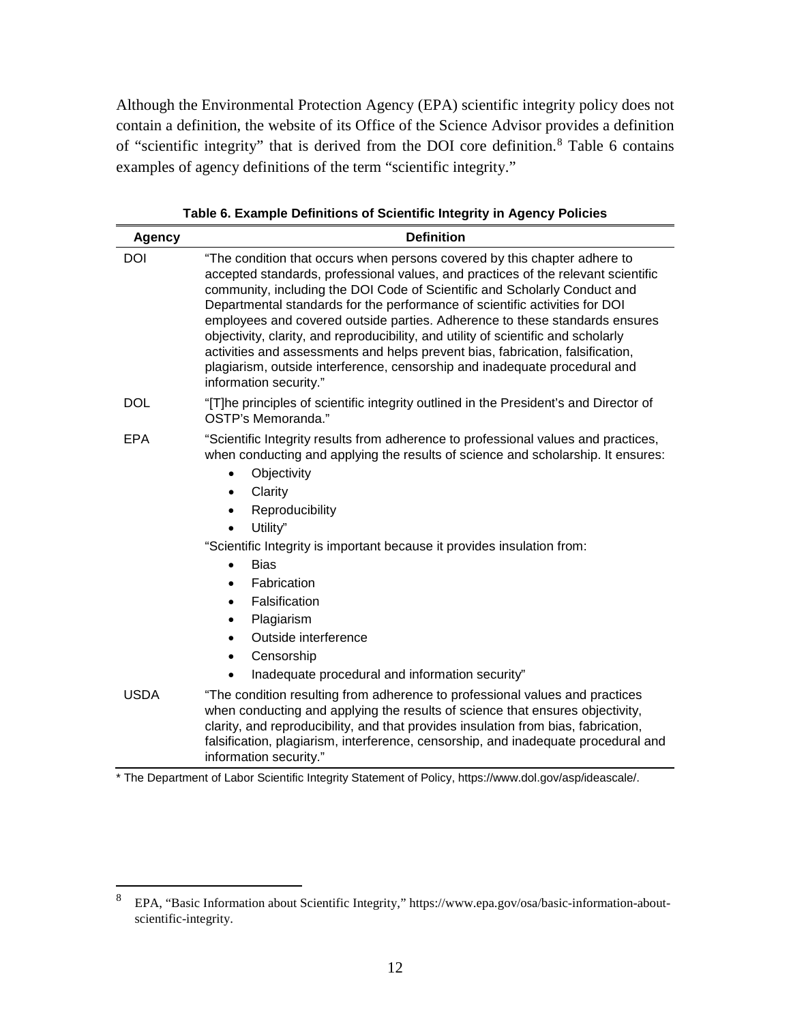Although the Environmental Protection Agency (EPA) scientific integrity policy does not contain a definition, the website of its Office of the Science Advisor provides a definition of "scientific integrity" that is derived from the DOI core definition.<sup>[8](#page-23-0)</sup> Table 6 contains examples of agency definitions of the term "scientific integrity."

| <b>Agency</b> | <b>Definition</b>                                                                                                                                                                                                                                                                                                                                                                                                                                                                                                                                                                                                                                                                         |  |  |
|---------------|-------------------------------------------------------------------------------------------------------------------------------------------------------------------------------------------------------------------------------------------------------------------------------------------------------------------------------------------------------------------------------------------------------------------------------------------------------------------------------------------------------------------------------------------------------------------------------------------------------------------------------------------------------------------------------------------|--|--|
| <b>DOI</b>    | "The condition that occurs when persons covered by this chapter adhere to<br>accepted standards, professional values, and practices of the relevant scientific<br>community, including the DOI Code of Scientific and Scholarly Conduct and<br>Departmental standards for the performance of scientific activities for DOI<br>employees and covered outside parties. Adherence to these standards ensures<br>objectivity, clarity, and reproducibility, and utility of scientific and scholarly<br>activities and assessments and helps prevent bias, fabrication, falsification,<br>plagiarism, outside interference, censorship and inadequate procedural and<br>information security." |  |  |
| <b>DOL</b>    | "[T]he principles of scientific integrity outlined in the President's and Director of<br>OSTP's Memoranda."                                                                                                                                                                                                                                                                                                                                                                                                                                                                                                                                                                               |  |  |
| EPA           | "Scientific Integrity results from adherence to professional values and practices,<br>when conducting and applying the results of science and scholarship. It ensures:<br>Objectivity<br>Clarity<br>$\bullet$<br>Reproducibility<br>Utility"<br>$\bullet$<br>"Scientific Integrity is important because it provides insulation from:<br><b>Bias</b><br>$\bullet$<br>Fabrication<br>$\bullet$<br>Falsification<br>$\bullet$<br>Plagiarism<br>$\bullet$<br>Outside interference<br>$\bullet$<br>Censorship<br>$\bullet$<br>Inadequate procedural and information security"                                                                                                                  |  |  |
| <b>USDA</b>   | "The condition resulting from adherence to professional values and practices<br>when conducting and applying the results of science that ensures objectivity,<br>clarity, and reproducibility, and that provides insulation from bias, fabrication,<br>falsification, plagiarism, interference, censorship, and inadequate procedural and<br>information security."                                                                                                                                                                                                                                                                                                                       |  |  |

**Table 6. Example Definitions of Scientific Integrity in Agency Policies**

\* The Department of Labor Scientific Integrity Statement of Policy, [https://www.dol.gov/asp/ideascale/.](https://www.dol.gov/asp/ideascale/)

<span id="page-23-0"></span> <sup>8</sup> EPA, "Basic Information about Scientific Integrity," [https://www.epa.gov/osa/basic-information-about](https://www.epa.gov/osa/basic-information-about-scientific-integrity#definition)[scientific-integrity.](https://www.epa.gov/osa/basic-information-about-scientific-integrity#definition)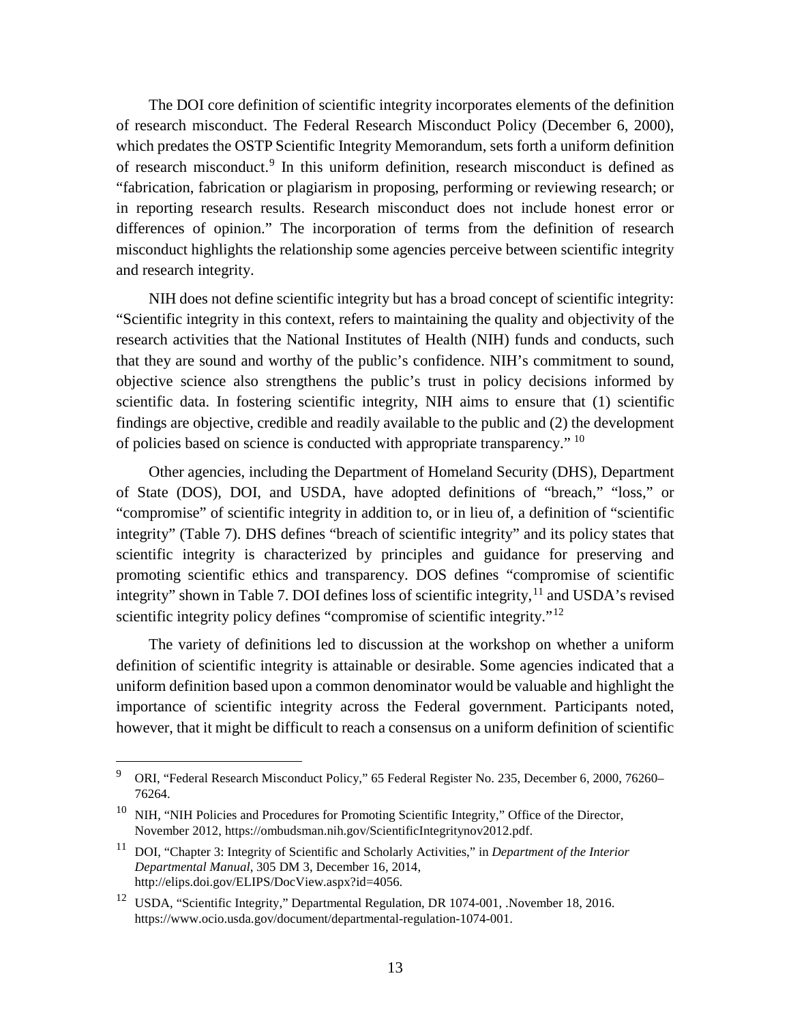The DOI core definition of scientific integrity incorporates elements of the definition of research misconduct. The Federal Research Misconduct Policy (December 6, 2000), which predates the OSTP Scientific Integrity Memorandum, sets forth a uniform definition of research misconduct. [9](#page-24-0) In this uniform definition, research misconduct is defined as "fabrication, fabrication or plagiarism in proposing, performing or reviewing research; or in reporting research results. Research misconduct does not include honest error or differences of opinion." The incorporation of terms from the definition of research misconduct highlights the relationship some agencies perceive between scientific integrity and research integrity.

NIH does not define scientific integrity but has a broad concept of scientific integrity: "Scientific integrity in this context, refers to maintaining the quality and objectivity of the research activities that the National Institutes of Health (NIH) funds and conducts, such that they are sound and worthy of the public's confidence. NIH's commitment to sound, objective science also strengthens the public's trust in policy decisions informed by scientific data. In fostering scientific integrity, NIH aims to ensure that (1) scientific findings are objective, credible and readily available to the public and (2) the development of policies based on science is conducted with appropriate transparency." <sup>[10](#page-24-1)</sup>

Other agencies, including the Department of Homeland Security (DHS), Department of State (DOS), DOI, and USDA, have adopted definitions of "breach," "loss," or "compromise" of scientific integrity in addition to, or in lieu of, a definition of "scientific integrity" (Table 7). DHS defines "breach of scientific integrity" and its policy states that scientific integrity is characterized by principles and guidance for preserving and promoting scientific ethics and transparency. DOS defines "compromise of scientific integrity" shown in Table 7. DOI defines loss of scientific integrity, <sup>[11](#page-24-2)</sup> and USDA's revised scientific integrity policy defines "compromise of scientific integrity."<sup>[12](#page-24-3)</sup>

The variety of definitions led to discussion at the workshop on whether a uniform definition of scientific integrity is attainable or desirable. Some agencies indicated that a uniform definition based upon a common denominator would be valuable and highlight the importance of scientific integrity across the Federal government. Participants noted, however, that it might be difficult to reach a consensus on a uniform definition of scientific

<span id="page-24-0"></span><sup>&</sup>lt;sup>9</sup> ORI, "Federal Research Misconduct Policy," 65 Federal Register No. 235, December 6, 2000, 76260– 76264.

<span id="page-24-1"></span><sup>&</sup>lt;sup>10</sup> NIH, "NIH Policies and Procedures for Promoting Scientific Integrity," Office of the Director, November 2012, [https://ombudsman.nih.gov/ScientificIntegritynov2012.pdf.](https://ombudsman.nih.gov/ScientificIntegritynov2012.pdf)

<span id="page-24-2"></span><sup>11</sup> DOI, "Chapter 3: Integrity of Scientific and Scholarly Activities," in *Department of the Interior Departmental Manual*, 305 DM 3, December 16, 2014, http://elips.doi.gov/ELIPS/DocView.aspx?id=4056.

<span id="page-24-3"></span><sup>&</sup>lt;sup>12</sup> USDA, "Scientific Integrity," Departmental Regulation, DR 1074-001, .November 18, 2016. https://www.ocio.usda.gov/document/departmental-regulation-1074-001.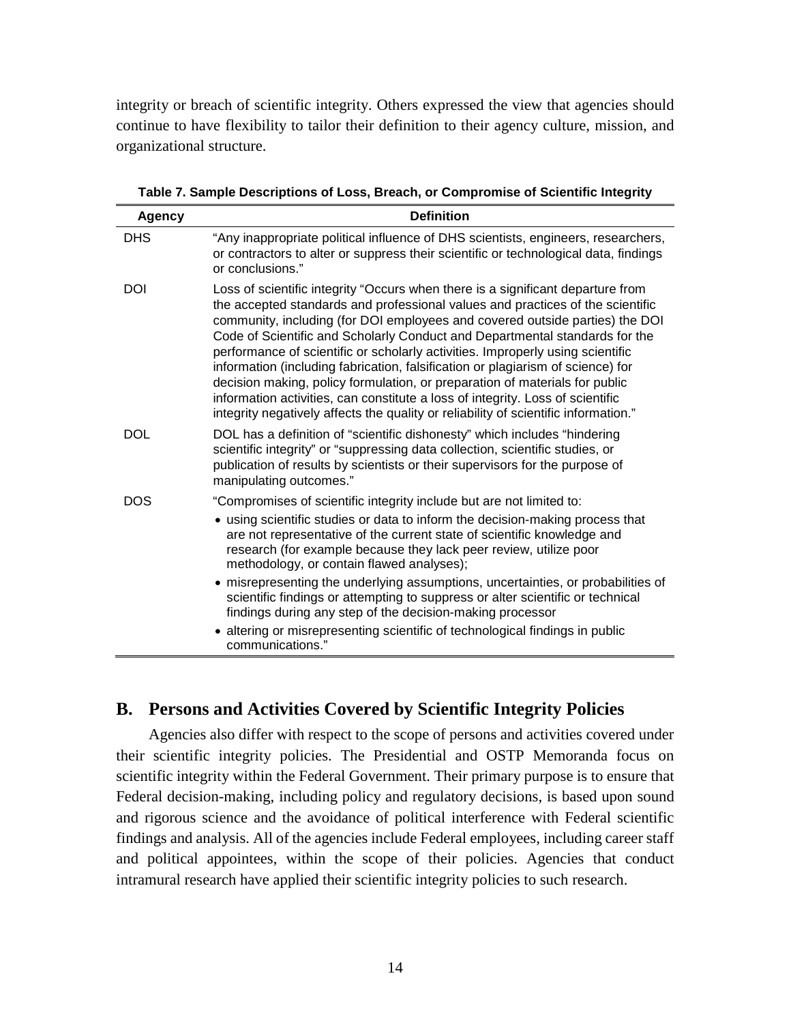integrity or breach of scientific integrity. Others expressed the view that agencies should continue to have flexibility to tailor their definition to their agency culture, mission, and organizational structure.

| <b>Agency</b> | <b>Definition</b>                                                                                                                                                                                                                                                                                                                                                                                                                                                                                                                                                                                                                                                                                                                                             |  |  |
|---------------|---------------------------------------------------------------------------------------------------------------------------------------------------------------------------------------------------------------------------------------------------------------------------------------------------------------------------------------------------------------------------------------------------------------------------------------------------------------------------------------------------------------------------------------------------------------------------------------------------------------------------------------------------------------------------------------------------------------------------------------------------------------|--|--|
| <b>DHS</b>    | "Any inappropriate political influence of DHS scientists, engineers, researchers,<br>or contractors to alter or suppress their scientific or technological data, findings<br>or conclusions."                                                                                                                                                                                                                                                                                                                                                                                                                                                                                                                                                                 |  |  |
| DOI           | Loss of scientific integrity "Occurs when there is a significant departure from<br>the accepted standards and professional values and practices of the scientific<br>community, including (for DOI employees and covered outside parties) the DOI<br>Code of Scientific and Scholarly Conduct and Departmental standards for the<br>performance of scientific or scholarly activities. Improperly using scientific<br>information (including fabrication, falsification or plagiarism of science) for<br>decision making, policy formulation, or preparation of materials for public<br>information activities, can constitute a loss of integrity. Loss of scientific<br>integrity negatively affects the quality or reliability of scientific information." |  |  |
| <b>DOL</b>    | DOL has a definition of "scientific dishonesty" which includes "hindering<br>scientific integrity" or "suppressing data collection, scientific studies, or<br>publication of results by scientists or their supervisors for the purpose of<br>manipulating outcomes."                                                                                                                                                                                                                                                                                                                                                                                                                                                                                         |  |  |
| <b>DOS</b>    | "Compromises of scientific integrity include but are not limited to:                                                                                                                                                                                                                                                                                                                                                                                                                                                                                                                                                                                                                                                                                          |  |  |
|               | • using scientific studies or data to inform the decision-making process that<br>are not representative of the current state of scientific knowledge and<br>research (for example because they lack peer review, utilize poor<br>methodology, or contain flawed analyses);                                                                                                                                                                                                                                                                                                                                                                                                                                                                                    |  |  |
|               | • misrepresenting the underlying assumptions, uncertainties, or probabilities of<br>scientific findings or attempting to suppress or alter scientific or technical<br>findings during any step of the decision-making processor                                                                                                                                                                                                                                                                                                                                                                                                                                                                                                                               |  |  |
|               | • altering or misrepresenting scientific of technological findings in public<br>communications."                                                                                                                                                                                                                                                                                                                                                                                                                                                                                                                                                                                                                                                              |  |  |

**Table 7. Sample Descriptions of Loss, Breach, or Compromise of Scientific Integrity**

#### <span id="page-25-0"></span>**B. Persons and Activities Covered by Scientific Integrity Policies**

Agencies also differ with respect to the scope of persons and activities covered under their scientific integrity policies. The Presidential and OSTP Memoranda focus on scientific integrity within the Federal Government. Their primary purpose is to ensure that Federal decision-making, including policy and regulatory decisions, is based upon sound and rigorous science and the avoidance of political interference with Federal scientific findings and analysis. All of the agencies include Federal employees, including career staff and political appointees, within the scope of their policies. Agencies that conduct intramural research have applied their scientific integrity policies to such research.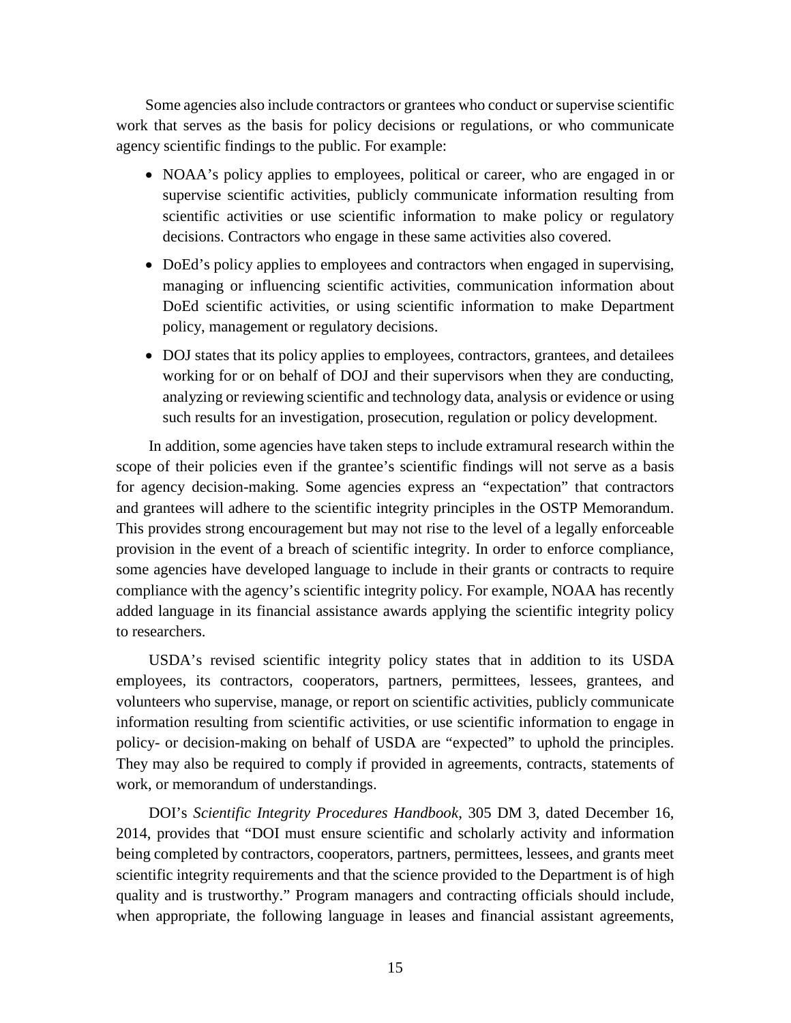Some agencies also include contractors or grantees who conduct or supervise scientific work that serves as the basis for policy decisions or regulations, or who communicate agency scientific findings to the public. For example:

- NOAA's policy applies to employees, political or career, who are engaged in or supervise scientific activities, publicly communicate information resulting from scientific activities or use scientific information to make policy or regulatory decisions. Contractors who engage in these same activities also covered.
- DoEd's policy applies to employees and contractors when engaged in supervising, managing or influencing scientific activities, communication information about DoEd scientific activities, or using scientific information to make Department policy, management or regulatory decisions.
- DOJ states that its policy applies to employees, contractors, grantees, and detailees working for or on behalf of DOJ and their supervisors when they are conducting, analyzing or reviewing scientific and technology data, analysis or evidence or using such results for an investigation, prosecution, regulation or policy development.

In addition, some agencies have taken steps to include extramural research within the scope of their policies even if the grantee's scientific findings will not serve as a basis for agency decision-making. Some agencies express an "expectation" that contractors and grantees will adhere to the scientific integrity principles in the OSTP Memorandum. This provides strong encouragement but may not rise to the level of a legally enforceable provision in the event of a breach of scientific integrity. In order to enforce compliance, some agencies have developed language to include in their grants or contracts to require compliance with the agency's scientific integrity policy. For example, NOAA has recently added language in its financial assistance awards applying the scientific integrity policy to researchers.

USDA's revised scientific integrity policy states that in addition to its USDA employees, its contractors, cooperators, partners, permittees, lessees, grantees, and volunteers who supervise, manage, or report on scientific activities, publicly communicate information resulting from scientific activities, or use scientific information to engage in policy- or decision-making on behalf of USDA are "expected" to uphold the principles. They may also be required to comply if provided in agreements, contracts, statements of work, or memorandum of understandings.

DOI's *Scientific Integrity Procedures Handbook*, 305 DM 3, dated December 16, 2014, provides that "DOI must ensure scientific and scholarly activity and information being completed by contractors, cooperators, partners, permittees, lessees, and grants meet scientific integrity requirements and that the science provided to the Department is of high quality and is trustworthy." Program managers and contracting officials should include, when appropriate, the following language in leases and financial assistant agreements,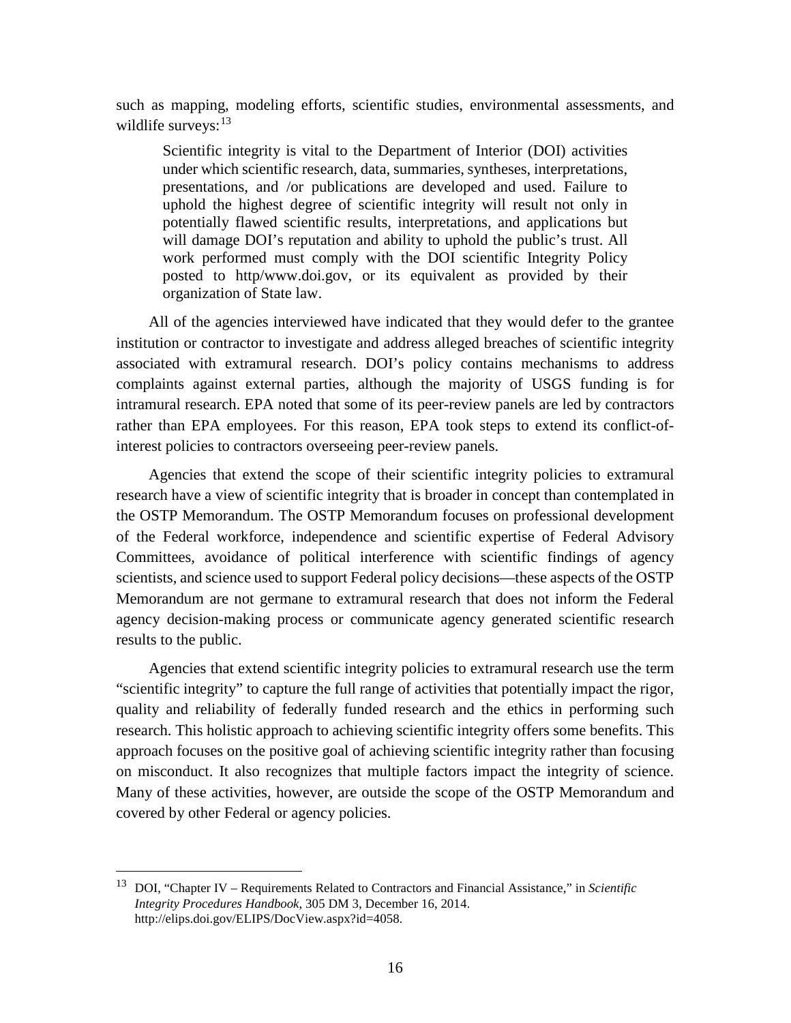such as mapping, modeling efforts, scientific studies, environmental assessments, and wildlife surveys:  $13$ 

Scientific integrity is vital to the Department of Interior (DOI) activities under which scientific research, data, summaries, syntheses, interpretations, presentations, and /or publications are developed and used. Failure to uphold the highest degree of scientific integrity will result not only in potentially flawed scientific results, interpretations, and applications but will damage DOI's reputation and ability to uphold the public's trust. All work performed must comply with the DOI scientific Integrity Policy posted to http/www.doi.gov, or its equivalent as provided by their organization of State law.

All of the agencies interviewed have indicated that they would defer to the grantee institution or contractor to investigate and address alleged breaches of scientific integrity associated with extramural research. DOI's policy contains mechanisms to address complaints against external parties, although the majority of USGS funding is for intramural research. EPA noted that some of its peer-review panels are led by contractors rather than EPA employees. For this reason, EPA took steps to extend its conflict-ofinterest policies to contractors overseeing peer-review panels.

Agencies that extend the scope of their scientific integrity policies to extramural research have a view of scientific integrity that is broader in concept than contemplated in the OSTP Memorandum. The OSTP Memorandum focuses on professional development of the Federal workforce, independence and scientific expertise of Federal Advisory Committees, avoidance of political interference with scientific findings of agency scientists, and science used to support Federal policy decisions—these aspects of the OSTP Memorandum are not germane to extramural research that does not inform the Federal agency decision-making process or communicate agency generated scientific research results to the public.

Agencies that extend scientific integrity policies to extramural research use the term "scientific integrity" to capture the full range of activities that potentially impact the rigor, quality and reliability of federally funded research and the ethics in performing such research. This holistic approach to achieving scientific integrity offers some benefits. This approach focuses on the positive goal of achieving scientific integrity rather than focusing on misconduct. It also recognizes that multiple factors impact the integrity of science. Many of these activities, however, are outside the scope of the OSTP Memorandum and covered by other Federal or agency policies.

<span id="page-27-0"></span> <sup>13</sup> DOI, "Chapter IV – Requirements Related to Contractors and Financial Assistance," in *Scientific Integrity Procedures Handbook*, 305 DM 3, December 16, 2014. http://elips.doi.gov/ELIPS/DocView.aspx?id=4058.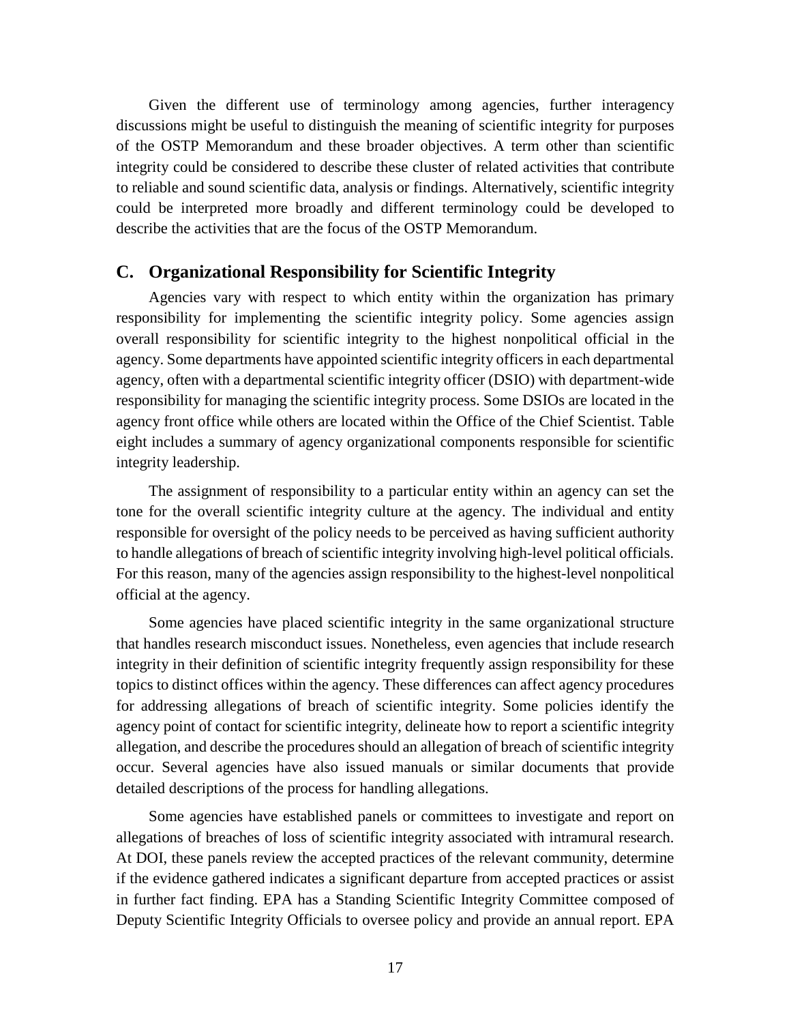Given the different use of terminology among agencies, further interagency discussions might be useful to distinguish the meaning of scientific integrity for purposes of the OSTP Memorandum and these broader objectives. A term other than scientific integrity could be considered to describe these cluster of related activities that contribute to reliable and sound scientific data, analysis or findings. Alternatively, scientific integrity could be interpreted more broadly and different terminology could be developed to describe the activities that are the focus of the OSTP Memorandum.

#### <span id="page-28-0"></span>**C. Organizational Responsibility for Scientific Integrity**

Agencies vary with respect to which entity within the organization has primary responsibility for implementing the scientific integrity policy. Some agencies assign overall responsibility for scientific integrity to the highest nonpolitical official in the agency. Some departments have appointed scientific integrity officers in each departmental agency, often with a departmental scientific integrity officer (DSIO) with department-wide responsibility for managing the scientific integrity process. Some DSIOs are located in the agency front office while others are located within the Office of the Chief Scientist. Table eight includes a summary of agency organizational components responsible for scientific integrity leadership.

The assignment of responsibility to a particular entity within an agency can set the tone for the overall scientific integrity culture at the agency. The individual and entity responsible for oversight of the policy needs to be perceived as having sufficient authority to handle allegations of breach of scientific integrity involving high-level political officials. For this reason, many of the agencies assign responsibility to the highest-level nonpolitical official at the agency.

Some agencies have placed scientific integrity in the same organizational structure that handles research misconduct issues. Nonetheless, even agencies that include research integrity in their definition of scientific integrity frequently assign responsibility for these topics to distinct offices within the agency. These differences can affect agency procedures for addressing allegations of breach of scientific integrity. Some policies identify the agency point of contact for scientific integrity, delineate how to report a scientific integrity allegation, and describe the procedures should an allegation of breach of scientific integrity occur. Several agencies have also issued manuals or similar documents that provide detailed descriptions of the process for handling allegations.

Some agencies have established panels or committees to investigate and report on allegations of breaches of loss of scientific integrity associated with intramural research. At DOI, these panels review the accepted practices of the relevant community, determine if the evidence gathered indicates a significant departure from accepted practices or assist in further fact finding. EPA has a Standing Scientific Integrity Committee composed of Deputy Scientific Integrity Officials to oversee policy and provide an annual report. EPA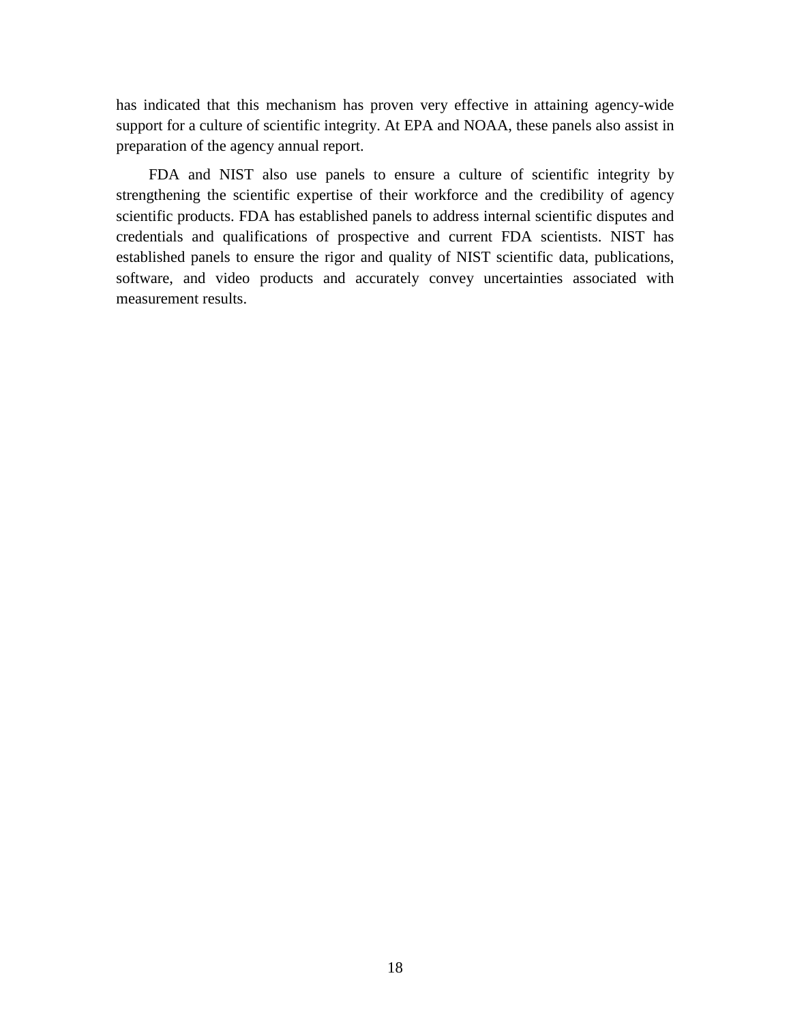has indicated that this mechanism has proven very effective in attaining agency-wide support for a culture of scientific integrity. At EPA and NOAA, these panels also assist in preparation of the agency annual report.

FDA and NIST also use panels to ensure a culture of scientific integrity by strengthening the scientific expertise of their workforce and the credibility of agency scientific products. FDA has established panels to address internal scientific disputes and credentials and qualifications of prospective and current FDA scientists. NIST has established panels to ensure the rigor and quality of NIST scientific data, publications, software, and video products and accurately convey uncertainties associated with measurement results.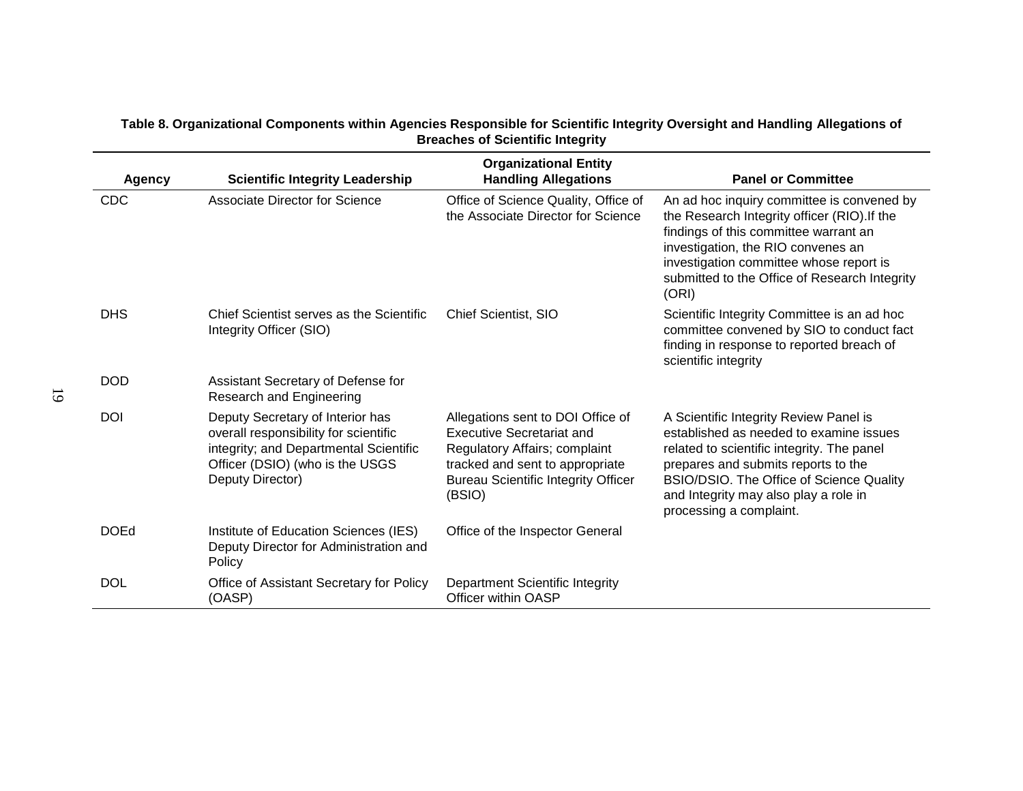| Table 8. Organizational Components within Agencies Responsible for Scientific Integrity Oversight and Handling Allegations of |
|-------------------------------------------------------------------------------------------------------------------------------|
| <b>Breaches of Scientific Integrity</b>                                                                                       |

| <b>Agency</b> | <b>Scientific Integrity Leadership</b>                                                                                                                                     | <b>Organizational Entity</b><br><b>Handling Allegations</b>                                                                                                                                       | <b>Panel or Committee</b>                                                                                                                                                                                                                                                              |
|---------------|----------------------------------------------------------------------------------------------------------------------------------------------------------------------------|---------------------------------------------------------------------------------------------------------------------------------------------------------------------------------------------------|----------------------------------------------------------------------------------------------------------------------------------------------------------------------------------------------------------------------------------------------------------------------------------------|
| CDC           | Associate Director for Science                                                                                                                                             | Office of Science Quality, Office of<br>the Associate Director for Science                                                                                                                        | An ad hoc inquiry committee is convened by<br>the Research Integrity officer (RIO). If the<br>findings of this committee warrant an<br>investigation, the RIO convenes an<br>investigation committee whose report is<br>submitted to the Office of Research Integrity<br>(ORI)         |
| <b>DHS</b>    | Chief Scientist serves as the Scientific<br>Integrity Officer (SIO)                                                                                                        | Chief Scientist, SIO                                                                                                                                                                              | Scientific Integrity Committee is an ad hoc<br>committee convened by SIO to conduct fact<br>finding in response to reported breach of<br>scientific integrity                                                                                                                          |
| <b>DOD</b>    | Assistant Secretary of Defense for<br>Research and Engineering                                                                                                             |                                                                                                                                                                                                   |                                                                                                                                                                                                                                                                                        |
| <b>DOI</b>    | Deputy Secretary of Interior has<br>overall responsibility for scientific<br>integrity; and Departmental Scientific<br>Officer (DSIO) (who is the USGS<br>Deputy Director) | Allegations sent to DOI Office of<br><b>Executive Secretariat and</b><br>Regulatory Affairs; complaint<br>tracked and sent to appropriate<br><b>Bureau Scientific Integrity Officer</b><br>(BSIO) | A Scientific Integrity Review Panel is<br>established as needed to examine issues<br>related to scientific integrity. The panel<br>prepares and submits reports to the<br>BSIO/DSIO. The Office of Science Quality<br>and Integrity may also play a role in<br>processing a complaint. |
| <b>DOEd</b>   | Institute of Education Sciences (IES)<br>Deputy Director for Administration and<br>Policy                                                                                  | Office of the Inspector General                                                                                                                                                                   |                                                                                                                                                                                                                                                                                        |
| <b>DOL</b>    | Office of Assistant Secretary for Policy<br>(OASP)                                                                                                                         | Department Scientific Integrity<br>Officer within OASP                                                                                                                                            |                                                                                                                                                                                                                                                                                        |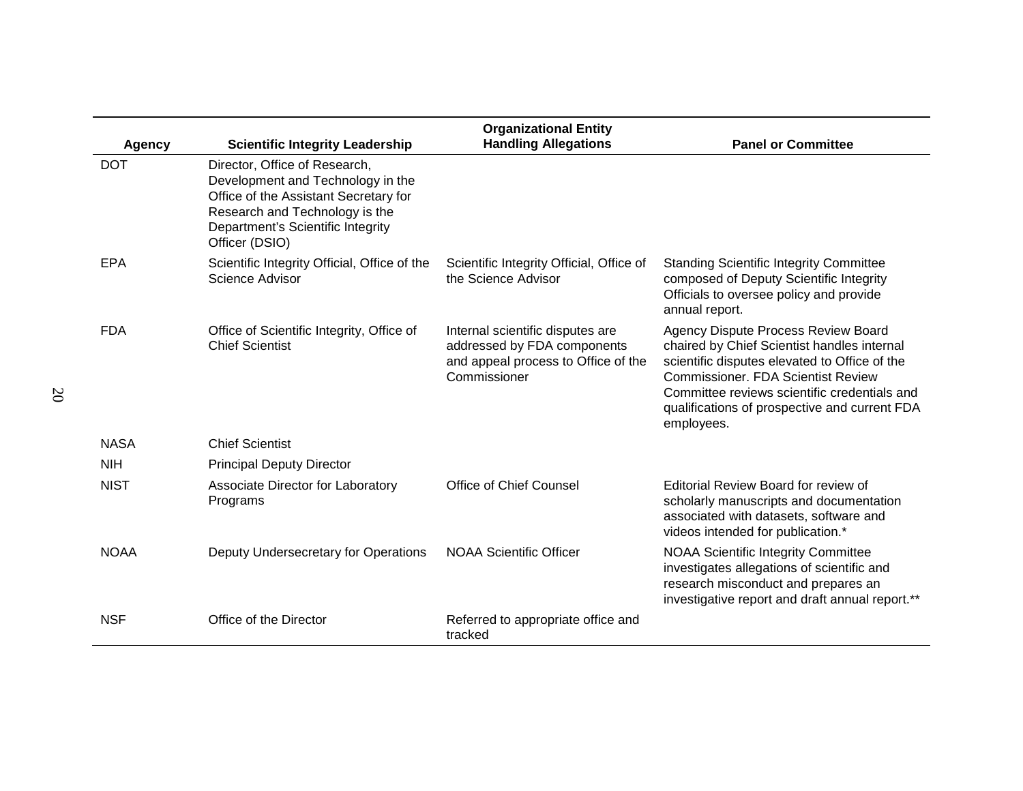|               |                                                                                                                                                                                                      | <b>Organizational Entity</b>                                                                                           |                                                                                                                                                                                                                                                                                                        |
|---------------|------------------------------------------------------------------------------------------------------------------------------------------------------------------------------------------------------|------------------------------------------------------------------------------------------------------------------------|--------------------------------------------------------------------------------------------------------------------------------------------------------------------------------------------------------------------------------------------------------------------------------------------------------|
| <b>Agency</b> | <b>Scientific Integrity Leadership</b>                                                                                                                                                               | <b>Handling Allegations</b>                                                                                            | <b>Panel or Committee</b>                                                                                                                                                                                                                                                                              |
| <b>DOT</b>    | Director, Office of Research,<br>Development and Technology in the<br>Office of the Assistant Secretary for<br>Research and Technology is the<br>Department's Scientific Integrity<br>Officer (DSIO) |                                                                                                                        |                                                                                                                                                                                                                                                                                                        |
| EPA           | Scientific Integrity Official, Office of the<br>Science Advisor                                                                                                                                      | Scientific Integrity Official, Office of<br>the Science Advisor                                                        | <b>Standing Scientific Integrity Committee</b><br>composed of Deputy Scientific Integrity<br>Officials to oversee policy and provide<br>annual report.                                                                                                                                                 |
| <b>FDA</b>    | Office of Scientific Integrity, Office of<br><b>Chief Scientist</b>                                                                                                                                  | Internal scientific disputes are<br>addressed by FDA components<br>and appeal process to Office of the<br>Commissioner | <b>Agency Dispute Process Review Board</b><br>chaired by Chief Scientist handles internal<br>scientific disputes elevated to Office of the<br><b>Commissioner, FDA Scientist Review</b><br>Committee reviews scientific credentials and<br>qualifications of prospective and current FDA<br>employees. |
| <b>NASA</b>   | <b>Chief Scientist</b>                                                                                                                                                                               |                                                                                                                        |                                                                                                                                                                                                                                                                                                        |
| <b>NIH</b>    | <b>Principal Deputy Director</b>                                                                                                                                                                     |                                                                                                                        |                                                                                                                                                                                                                                                                                                        |
| <b>NIST</b>   | Associate Director for Laboratory<br>Programs                                                                                                                                                        | Office of Chief Counsel                                                                                                | Editorial Review Board for review of<br>scholarly manuscripts and documentation<br>associated with datasets, software and<br>videos intended for publication.*                                                                                                                                         |
| <b>NOAA</b>   | Deputy Undersecretary for Operations                                                                                                                                                                 | <b>NOAA Scientific Officer</b>                                                                                         | <b>NOAA Scientific Integrity Committee</b><br>investigates allegations of scientific and<br>research misconduct and prepares an<br>investigative report and draft annual report.**                                                                                                                     |
| <b>NSF</b>    | Office of the Director                                                                                                                                                                               | Referred to appropriate office and<br>tracked                                                                          |                                                                                                                                                                                                                                                                                                        |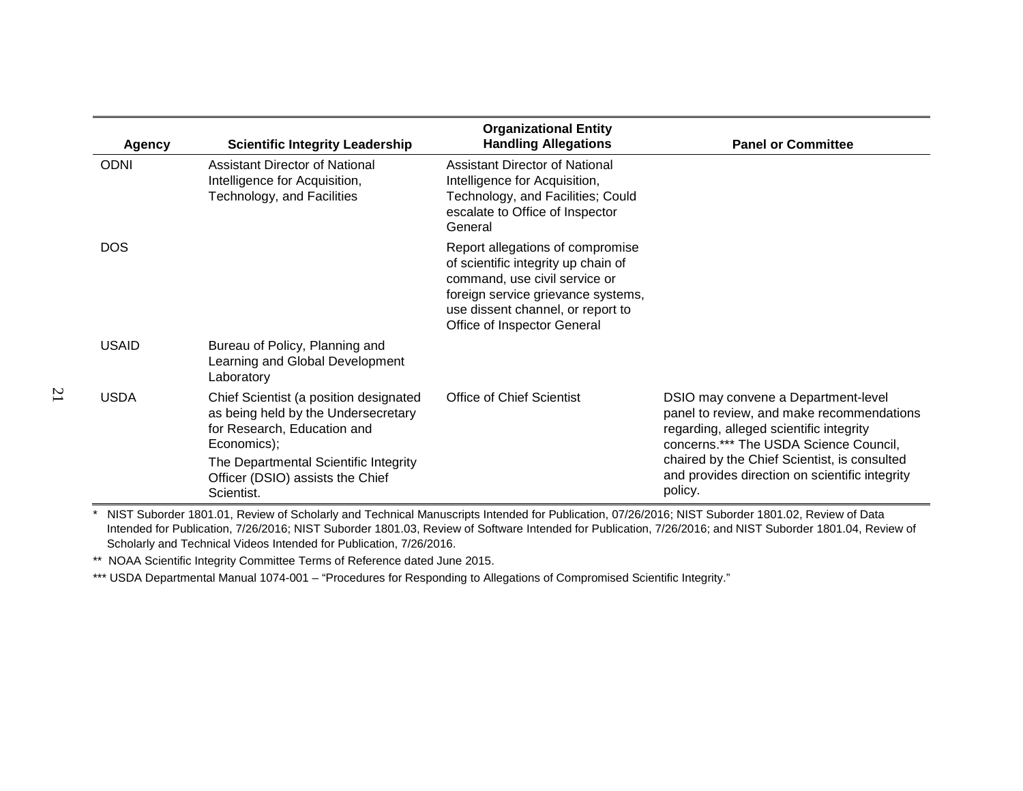| <b>Agency</b> | <b>Scientific Integrity Leadership</b>                                                                                                                                                                                 | <b>Organizational Entity</b><br><b>Handling Allegations</b>                                                                                                                                                        | <b>Panel or Committee</b>                                                                                                                                                                                                                                                          |
|---------------|------------------------------------------------------------------------------------------------------------------------------------------------------------------------------------------------------------------------|--------------------------------------------------------------------------------------------------------------------------------------------------------------------------------------------------------------------|------------------------------------------------------------------------------------------------------------------------------------------------------------------------------------------------------------------------------------------------------------------------------------|
| <b>ODNI</b>   | Assistant Director of National<br>Intelligence for Acquisition,<br>Technology, and Facilities                                                                                                                          | Assistant Director of National<br>Intelligence for Acquisition,<br>Technology, and Facilities; Could<br>escalate to Office of Inspector<br>General                                                                 |                                                                                                                                                                                                                                                                                    |
| <b>DOS</b>    |                                                                                                                                                                                                                        | Report allegations of compromise<br>of scientific integrity up chain of<br>command, use civil service or<br>foreign service grievance systems,<br>use dissent channel, or report to<br>Office of Inspector General |                                                                                                                                                                                                                                                                                    |
| <b>USAID</b>  | Bureau of Policy, Planning and<br>Learning and Global Development<br>Laboratory                                                                                                                                        |                                                                                                                                                                                                                    |                                                                                                                                                                                                                                                                                    |
| <b>USDA</b>   | Chief Scientist (a position designated<br>as being held by the Undersecretary<br>for Research, Education and<br>Economics);<br>The Departmental Scientific Integrity<br>Officer (DSIO) assists the Chief<br>Scientist. | <b>Office of Chief Scientist</b>                                                                                                                                                                                   | DSIO may convene a Department-level<br>panel to review, and make recommendations<br>regarding, alleged scientific integrity<br>concerns.*** The USDA Science Council,<br>chaired by the Chief Scientist, is consulted<br>and provides direction on scientific integrity<br>policy. |

\* NIST Suborder 1801.01, Review of Scholarly and Technical Manuscripts Intended for Publication, 07/26/2016; NIST Suborder 1801.02, Review of Data Intended for Publication, 7/26/2016; NIST Suborder 1801.03, Review of Software Intended for Publication, 7/26/2016; and NIST Suborder 1801.04, Review of Scholarly and Technical Videos Intended for Publication, 7/26/2016.

\*\* NOAA Scientific Integrity Committee Terms of Reference dated June 2015.

\*\*\* USDA Departmental Manual 1074-001 – "Procedures for Responding to Allegations of Compromised Scientific Integrity."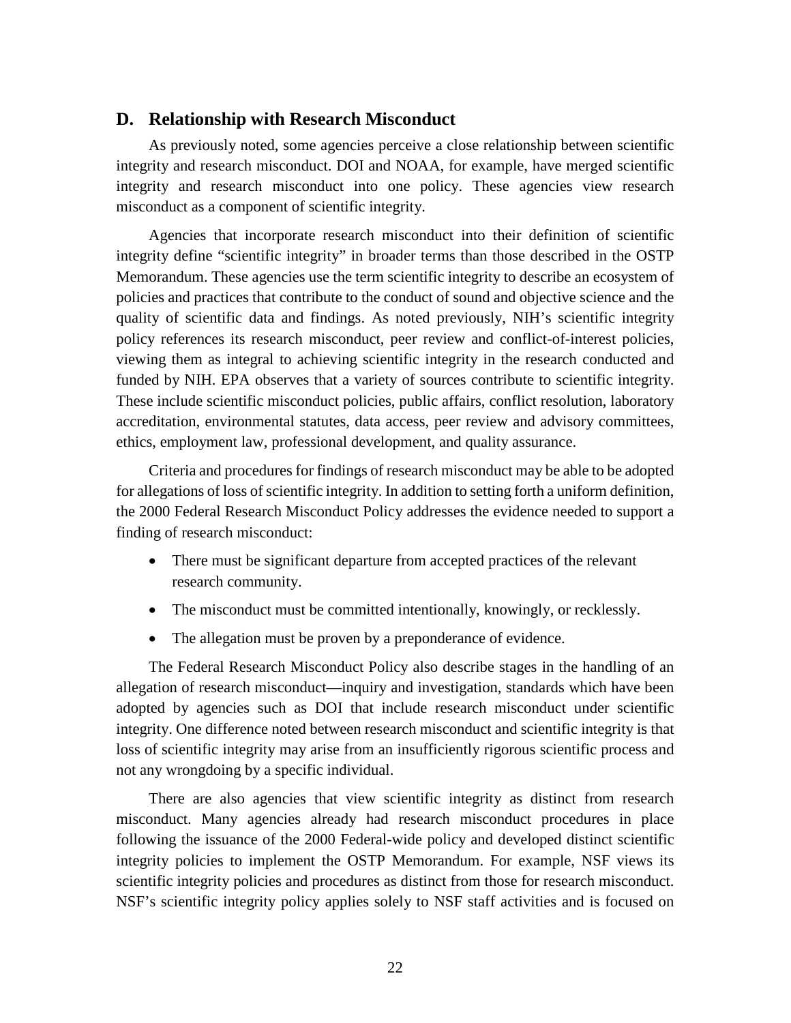#### <span id="page-33-0"></span>**D. Relationship with Research Misconduct**

As previously noted, some agencies perceive a close relationship between scientific integrity and research misconduct. DOI and NOAA, for example, have merged scientific integrity and research misconduct into one policy. These agencies view research misconduct as a component of scientific integrity.

Agencies that incorporate research misconduct into their definition of scientific integrity define "scientific integrity" in broader terms than those described in the OSTP Memorandum. These agencies use the term scientific integrity to describe an ecosystem of policies and practices that contribute to the conduct of sound and objective science and the quality of scientific data and findings. As noted previously, NIH's scientific integrity policy references its research misconduct, peer review and conflict-of-interest policies, viewing them as integral to achieving scientific integrity in the research conducted and funded by NIH. EPA observes that a variety of sources contribute to scientific integrity. These include scientific misconduct policies, public affairs, conflict resolution, laboratory accreditation, environmental statutes, data access, peer review and advisory committees, ethics, employment law, professional development, and quality assurance.

Criteria and procedures for findings of research misconduct may be able to be adopted for allegations of loss of scientific integrity. In addition to setting forth a uniform definition, the 2000 Federal Research Misconduct Policy addresses the evidence needed to support a finding of research misconduct:

- There must be significant departure from accepted practices of the relevant research community.
- The misconduct must be committed intentionally, knowingly, or recklessly.
- The allegation must be proven by a preponderance of evidence.

The Federal Research Misconduct Policy also describe stages in the handling of an allegation of research misconduct—inquiry and investigation, standards which have been adopted by agencies such as DOI that include research misconduct under scientific integrity. One difference noted between research misconduct and scientific integrity is that loss of scientific integrity may arise from an insufficiently rigorous scientific process and not any wrongdoing by a specific individual.

There are also agencies that view scientific integrity as distinct from research misconduct. Many agencies already had research misconduct procedures in place following the issuance of the 2000 Federal-wide policy and developed distinct scientific integrity policies to implement the OSTP Memorandum. For example, NSF views its scientific integrity policies and procedures as distinct from those for research misconduct. NSF's scientific integrity policy applies solely to NSF staff activities and is focused on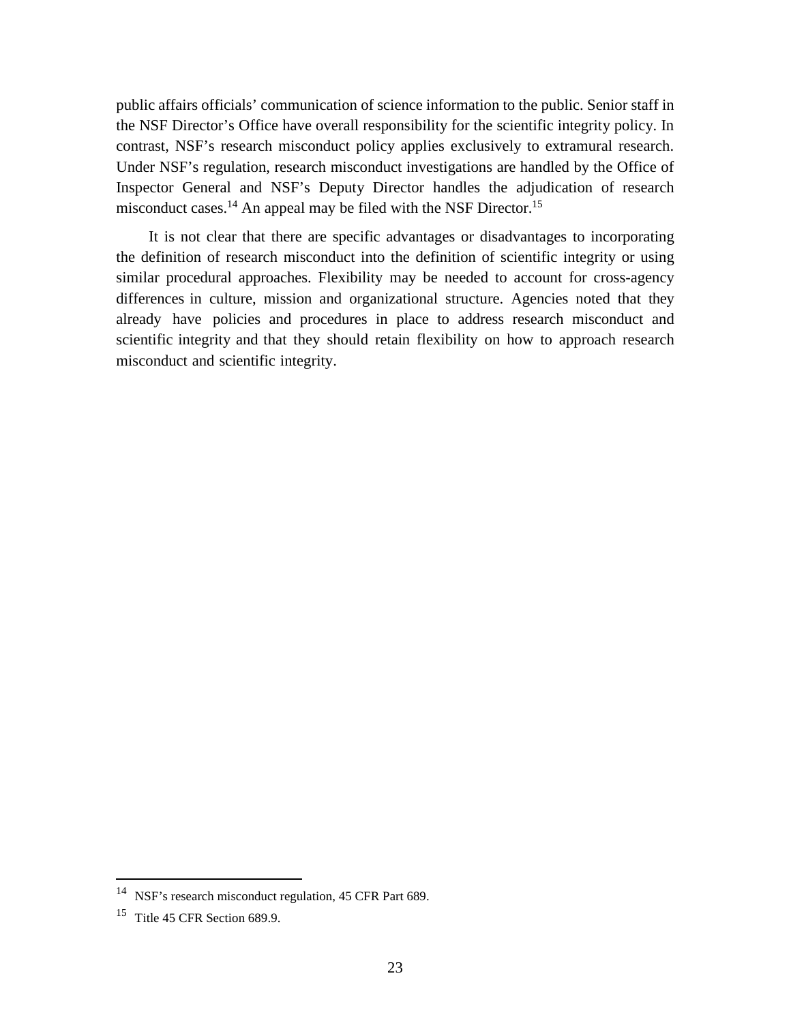public affairs officials' communication of science information to the public. Senior staff in the NSF Director's Office have overall responsibility for the scientific integrity policy. In contrast, NSF's research misconduct policy applies exclusively to extramural research. Under NSF's regulation, research misconduct investigations are handled by the Office of Inspector General and NSF's Deputy Director handles the adjudication of research misconduct cases.<sup>[14](#page-34-0)</sup> An appeal may be filed with the NSF Director.<sup>[15](#page-34-1)</sup>

It is not clear that there are specific advantages or disadvantages to incorporating the definition of research misconduct into the definition of scientific integrity or using similar procedural approaches. Flexibility may be needed to account for cross-agency differences in culture, mission and organizational structure. Agencies noted that they already have policies and procedures in place to address research misconduct and scientific integrity and that they should retain flexibility on how to approach research misconduct and scientific integrity.

<span id="page-34-0"></span><sup>14</sup> NSF's research misconduct regulation, 45 CFR Part 689.

<span id="page-34-1"></span> $15$  Title 45 CFR Section 689.9.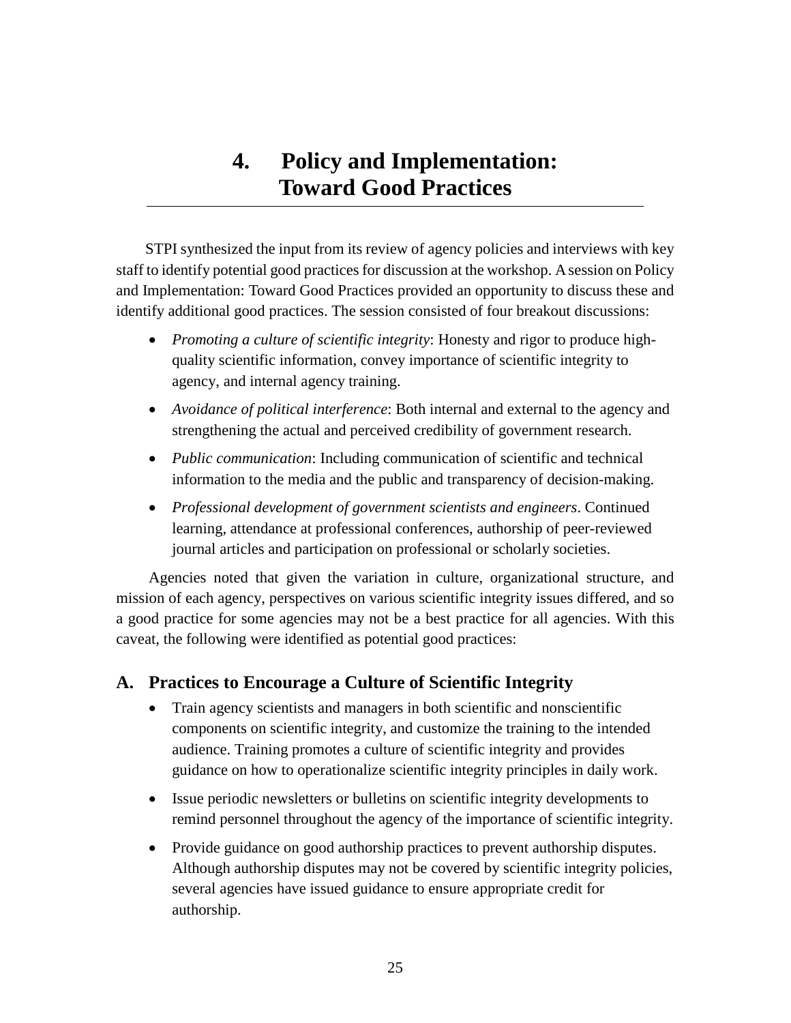## <span id="page-36-0"></span>**4. Policy and Implementation: Toward Good Practices**

STPI synthesized the input from its review of agency policies and interviews with key staff to identify potential good practices for discussion at the workshop. A session on Policy and Implementation: Toward Good Practices provided an opportunity to discuss these and identify additional good practices. The session consisted of four breakout discussions:

- *Promoting a culture of scientific integrity*: Honesty and rigor to produce highquality scientific information, convey importance of scientific integrity to agency, and internal agency training.
- *Avoidance of political interference*: Both internal and external to the agency and strengthening the actual and perceived credibility of government research.
- *Public communication*: Including communication of scientific and technical information to the media and the public and transparency of decision-making.
- *Professional development of government scientists and engineers*. Continued learning, attendance at professional conferences, authorship of peer-reviewed journal articles and participation on professional or scholarly societies.

Agencies noted that given the variation in culture, organizational structure, and mission of each agency, perspectives on various scientific integrity issues differed, and so a good practice for some agencies may not be a best practice for all agencies. With this caveat, the following were identified as potential good practices:

#### <span id="page-36-1"></span>**A. Practices to Encourage a Culture of Scientific Integrity**

- Train agency scientists and managers in both scientific and nonscientific components on scientific integrity, and customize the training to the intended audience. Training promotes a culture of scientific integrity and provides guidance on how to operationalize scientific integrity principles in daily work.
- Issue periodic newsletters or bulletins on scientific integrity developments to remind personnel throughout the agency of the importance of scientific integrity.
- Provide guidance on good authorship practices to prevent authorship disputes. Although authorship disputes may not be covered by scientific integrity policies, several agencies have issued guidance to ensure appropriate credit for authorship.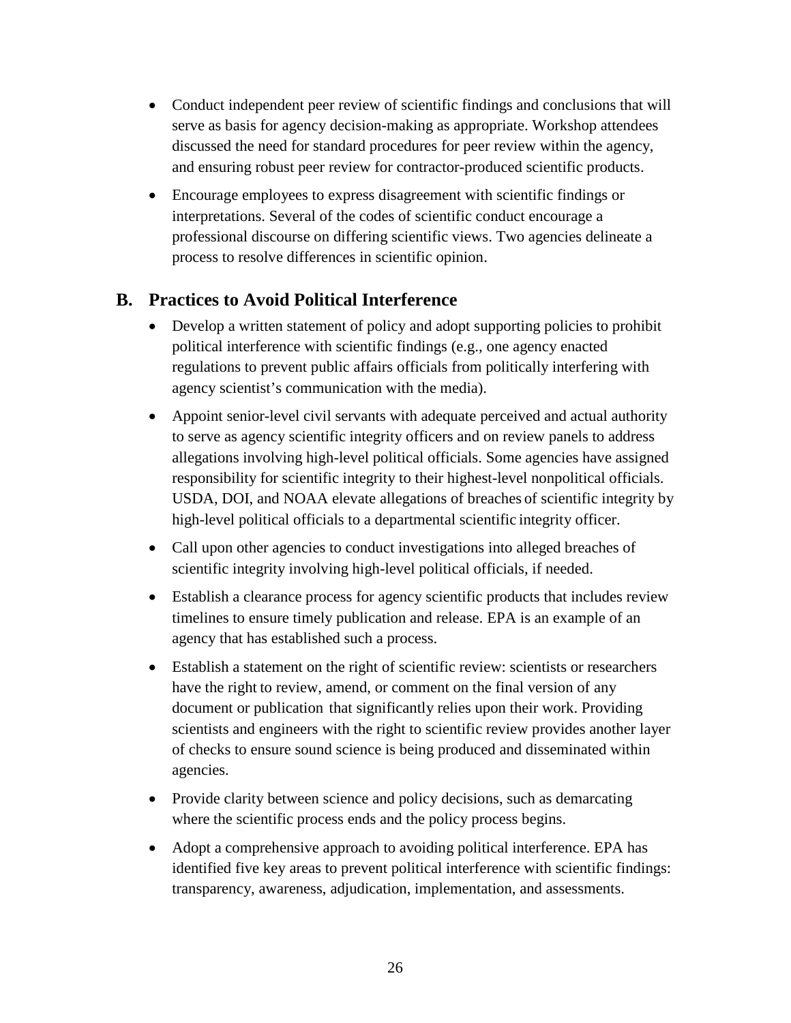- Conduct independent peer review of scientific findings and conclusions that will serve as basis for agency decision-making as appropriate. Workshop attendees discussed the need for standard procedures for peer review within the agency, and ensuring robust peer review for contractor-produced scientific products.
- Encourage employees to express disagreement with scientific findings or interpretations. Several of the codes of scientific conduct encourage a professional discourse on differing scientific views. Two agencies delineate a process to resolve differences in scientific opinion.

### <span id="page-37-0"></span>**B. Practices to Avoid Political Interference**

- Develop a written statement of policy and adopt supporting policies to prohibit political interference with scientific findings (e.g., one agency enacted regulations to prevent public affairs officials from politically interfering with agency scientist's communication with the media).
- Appoint senior-level civil servants with adequate perceived and actual authority to serve as agency scientific integrity officers and on review panels to address allegations involving high-level political officials. Some agencies have assigned responsibility for scientific integrity to their highest-level nonpolitical officials. USDA, DOI, and NOAA elevate allegations of breaches of scientific integrity by high-level political officials to a departmental scientific integrity officer.
- Call upon other agencies to conduct investigations into alleged breaches of scientific integrity involving high-level political officials, if needed.
- Establish a clearance process for agency scientific products that includes review timelines to ensure timely publication and release. EPA is an example of an agency that has established such a process.
- Establish a statement on the right of scientific review: scientists or researchers have the right to review, amend, or comment on the final version of any document or publication that significantly relies upon their work. Providing scientists and engineers with the right to scientific review provides another layer of checks to ensure sound science is being produced and disseminated within agencies.
- Provide clarity between science and policy decisions, such as demarcating where the scientific process ends and the policy process begins.
- Adopt a comprehensive approach to avoiding political interference. EPA has identified five key areas to prevent political interference with scientific findings: transparency, awareness, adjudication, implementation, and assessments.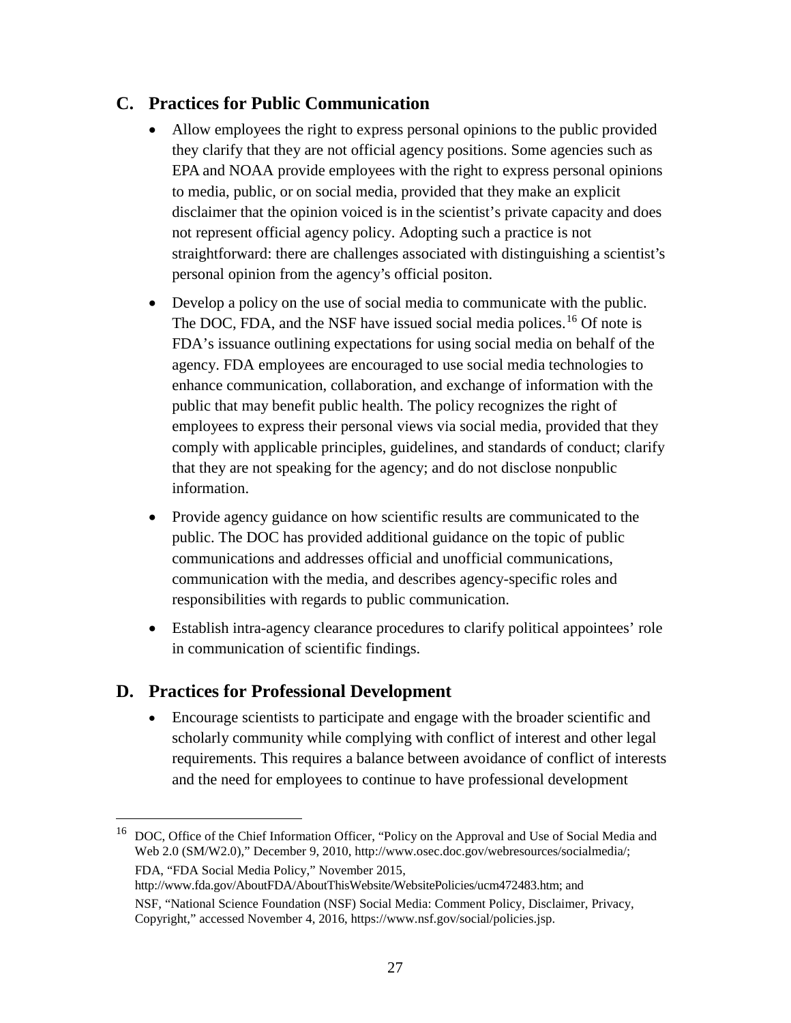### <span id="page-38-0"></span>**C. Practices for Public Communication**

- Allow employees the right to express personal opinions to the public provided they clarify that they are not official agency positions. Some agencies such as EPA and NOAA provide employees with the right to express personal opinions to media, public, or on social media, provided that they make an explicit disclaimer that the opinion voiced is in the scientist's private capacity and does not represent official agency policy. Adopting such a practice is not straightforward: there are challenges associated with distinguishing a scientist's personal opinion from the agency's official positon.
- Develop a policy on the use of social media to communicate with the public. The DOC, FDA, and the NSF have issued social media polices.<sup>16</sup> Of note is FDA's issuance outlining expectations for using social media on behalf of the agency. FDA employees are encouraged to use social media technologies to enhance communication, collaboration, and exchange of information with the public that may benefit public health. The policy recognizes the right of employees to express their personal views via social media, provided that they comply with applicable principles, guidelines, and standards of conduct; clarify that they are not speaking for the agency; and do not disclose nonpublic information.
- Provide agency guidance on how scientific results are communicated to the public. The DOC has provided additional guidance on the topic of public communications and addresses official and unofficial communications, communication with the media, and describes agency-specific roles and responsibilities with regards to public communication.
- Establish intra-agency clearance procedures to clarify political appointees' role in communication of scientific findings.

### <span id="page-38-1"></span>**D. Practices for Professional Development**

• Encourage scientists to participate and engage with the broader scientific and scholarly community while complying with conflict of interest and other legal requirements. This requires a balance between avoidance of conflict of interests and the need for employees to continue to have professional development

FDA, "FDA Social Media Policy," November 2015,

<span id="page-38-2"></span><sup>16</sup> DOC, Office of the Chief Information Officer, "Policy on the Approval and Use of Social Media and Web 2.0 (SM/W2.0)," December 9, 2010, http://www.osec.doc.gov/webresources/socialmedia/;

[http://www.fda.gov/AboutFDA/AboutThisWebsite/WebsitePolicies/ucm472483.htm;](http://www.fda.gov/AboutFDA/AboutThisWebsite/WebsitePolicies/ucm472483.htm) and

NSF, "National Science Foundation (NSF) Social Media: Comment Policy, Disclaimer, Privacy, Copyright," accessed November 4, 2016, [https://www.nsf.gov/social/policies.jsp.](https://www.nsf.gov/social/policies.jsp)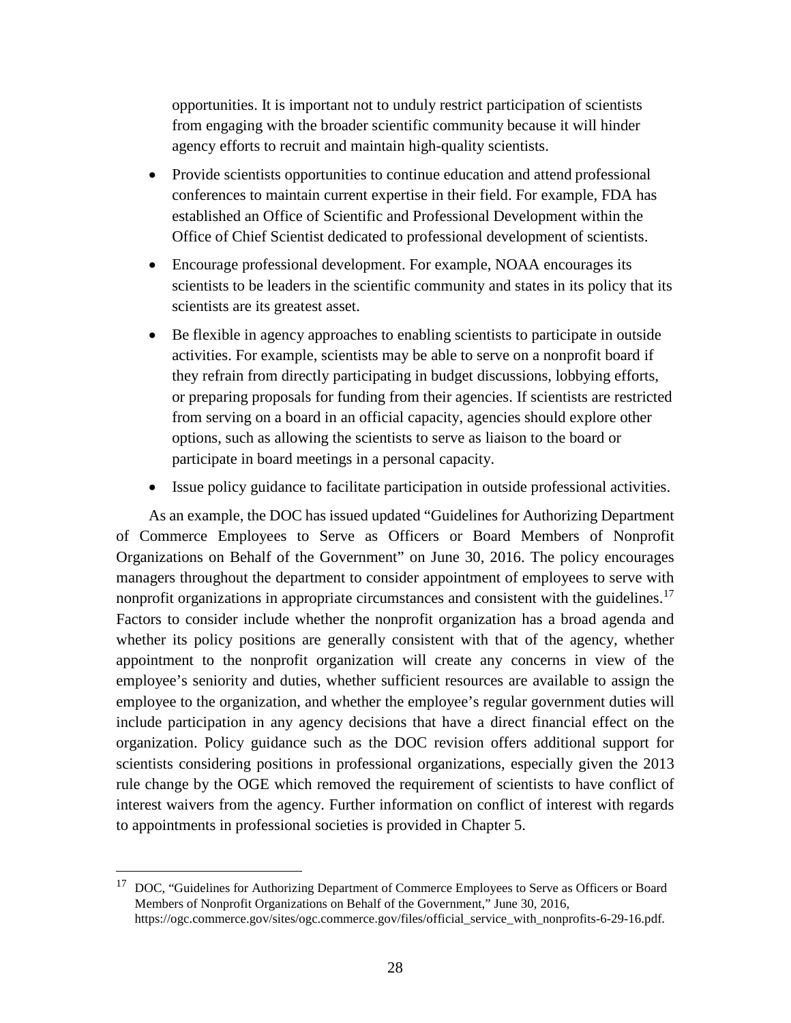opportunities. It is important not to unduly restrict participation of scientists from engaging with the broader scientific community because it will hinder agency efforts to recruit and maintain high-quality scientists.

- Provide scientists opportunities to continue education and attend professional conferences to maintain current expertise in their field. For example, FDA has established an Office of Scientific and Professional Development within the Office of Chief Scientist dedicated to professional development of scientists.
- Encourage professional development. For example, NOAA encourages its scientists to be leaders in the scientific community and states in its policy that its scientists are its greatest asset.
- Be flexible in agency approaches to enabling scientists to participate in outside activities. For example, scientists may be able to serve on a nonprofit board if they refrain from directly participating in budget discussions, lobbying efforts, or preparing proposals for funding from their agencies. If scientists are restricted from serving on a board in an official capacity, agencies should explore other options, such as allowing the scientists to serve as liaison to the board or participate in board meetings in a personal capacity.
- Issue policy guidance to facilitate participation in outside professional activities.

As an example, the DOC has issued updated "Guidelines for Authorizing Department of Commerce Employees to Serve as Officers or Board Members of Nonprofit Organizations on Behalf of the Government" on June 30, 2016. The policy encourages managers throughout the department to consider appointment of employees to serve with nonprofit organizations in appropriate circumstances and consistent with the guidelines.<sup>[17](#page-39-0)</sup> Factors to consider include whether the nonprofit organization has a broad agenda and whether its policy positions are generally consistent with that of the agency, whether appointment to the nonprofit organization will create any concerns in view of the employee's seniority and duties, whether sufficient resources are available to assign the employee to the organization, and whether the employee's regular government duties will include participation in any agency decisions that have a direct financial effect on the organization. Policy guidance such as the DOC revision offers additional support for scientists considering positions in professional organizations, especially given the 2013 rule change by the OGE which removed the requirement of scientists to have conflict of interest waivers from the agency. Further information on conflict of interest with regards to appointments in professional societies is provided in Chapter 5.

<span id="page-39-0"></span><sup>&</sup>lt;sup>17</sup> DOC, "Guidelines for Authorizing Department of Commerce Employees to Serve as Officers or Board Members of Nonprofit Organizations on Behalf of the Government," June 30, 2016, [https://ogc.commerce.gov/sites/ogc.commerce.gov/files/official\\_service\\_with\\_nonprofits-6-29-16.pdf.](https://ogc.commerce.gov/sites/ogc.commerce.gov/files/official_service_with_nonprofits-6-29-16.pdf)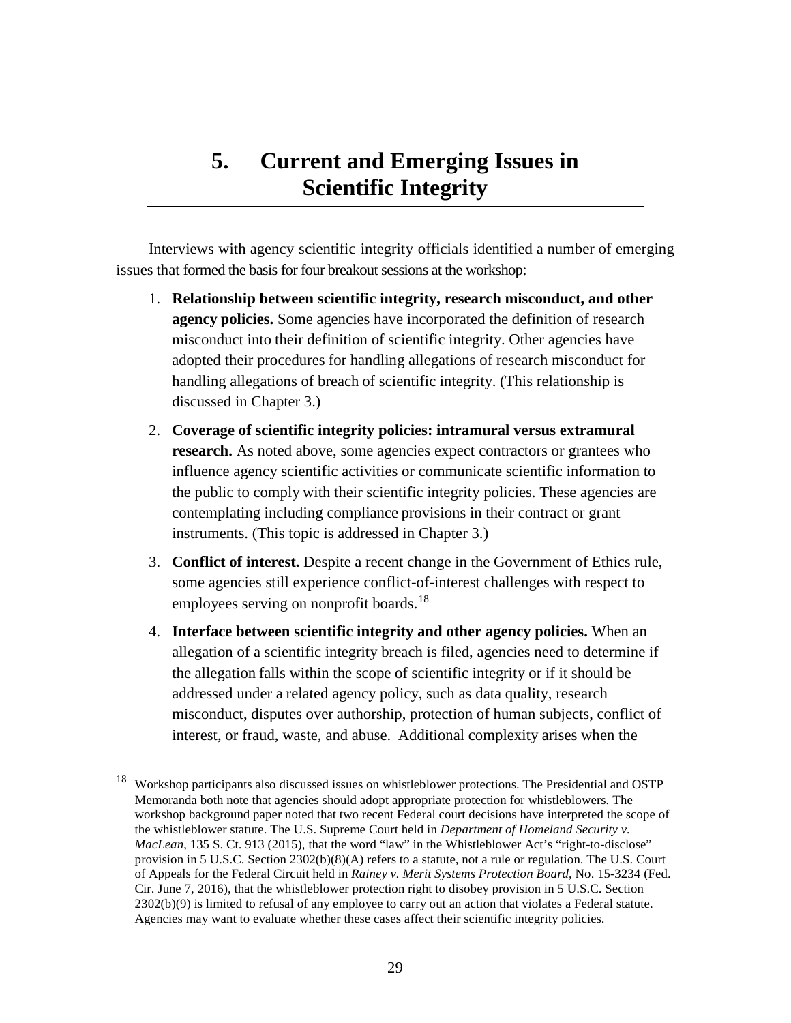## <span id="page-40-0"></span>**5. Current and Emerging Issues in Scientific Integrity**

Interviews with agency scientific integrity officials identified a number of emerging issues that formed the basis for four breakout sessions at the workshop:

- 1. **Relationship between scientific integrity, research misconduct, and other agency policies.** Some agencies have incorporated the definition of research misconduct into their definition of scientific integrity. Other agencies have adopted their procedures for handling allegations of research misconduct for handling allegations of breach of scientific integrity. (This relationship is discussed in Chapter 3.)
- 2. **Coverage of scientific integrity policies: intramural versus extramural research.** As noted above, some agencies expect contractors or grantees who influence agency scientific activities or communicate scientific information to the public to comply with their scientific integrity policies. These agencies are contemplating including compliance provisions in their contract or grant instruments. (This topic is addressed in Chapter 3.)
- 3. **Conflict of interest.** Despite a recent change in the Government of Ethics rule, some agencies still experience conflict-of-interest challenges with respect to employees serving on nonprofit boards.<sup>[18](#page-40-1)</sup>
- 4. **Interface between scientific integrity and other agency policies.** When an allegation of a scientific integrity breach is filed, agencies need to determine if the allegation falls within the scope of scientific integrity or if it should be addressed under a related agency policy, such as data quality, research misconduct, disputes over authorship, protection of human subjects, conflict of interest, or fraud, waste, and abuse. Additional complexity arises when the

<span id="page-40-1"></span><sup>18</sup> Workshop participants also discussed issues on whistleblower protections. The Presidential and OSTP Memoranda both note that agencies should adopt appropriate protection for whistleblowers. The workshop background paper noted that two recent Federal court decisions have interpreted the scope of the whistleblower statute. The U.S. Supreme Court held in *Department of Homeland Security v. MacLean*, 135 S. Ct. 913 (2015), that the word "law" in the Whistleblower Act's "right-to-disclose" provision in 5 U.S.C. Section 2302(b)(8)(A) refers to a statute, not a rule or regulation. The U.S. Court of Appeals for the Federal Circuit held in *Rainey v. Merit Systems Protection Board*, No. 15-3234 (Fed. Cir. June 7, 2016), that the whistleblower protection right to disobey provision in 5 U.S.C. Section 2302(b)(9) is limited to refusal of any employee to carry out an action that violates a Federal statute. Agencies may want to evaluate whether these cases affect their scientific integrity policies.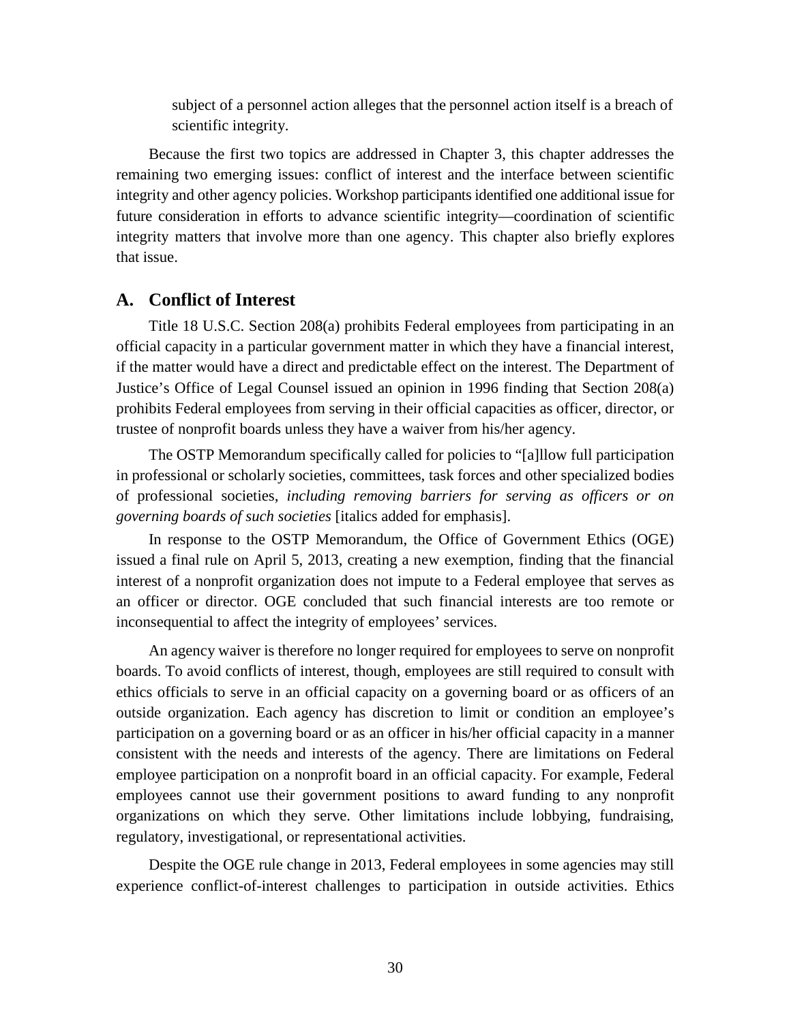subject of a personnel action alleges that the personnel action itself is a breach of scientific integrity.

Because the first two topics are addressed in Chapter 3, this chapter addresses the remaining two emerging issues: conflict of interest and the interface between scientific integrity and other agency policies. Workshop participants identified one additional issue for future consideration in efforts to advance scientific integrity—coordination of scientific integrity matters that involve more than one agency. This chapter also briefly explores that issue.

#### <span id="page-41-0"></span>**A. Conflict of Interest**

Title 18 U.S.C. Section 208(a) prohibits Federal employees from participating in an official capacity in a particular government matter in which they have a financial interest, if the matter would have a direct and predictable effect on the interest. The Department of Justice's Office of Legal Counsel issued an opinion in 1996 finding that Section 208(a) prohibits Federal employees from serving in their official capacities as officer, director, or trustee of nonprofit boards unless they have a waiver from his/her agency.

The OSTP Memorandum specifically called for policies to "[a]llow full participation in professional or scholarly societies, committees, task forces and other specialized bodies of professional societies, *including removing barriers for serving as officers or on governing boards of such societies* [italics added for emphasis].

In response to the OSTP Memorandum, the Office of Government Ethics (OGE) issued a final rule on April 5, 2013, creating a new exemption, finding that the financial interest of a nonprofit organization does not impute to a Federal employee that serves as an officer or director. OGE concluded that such financial interests are too remote or inconsequential to affect the integrity of employees' services.

An agency waiver is therefore no longer required for employees to serve on nonprofit boards. To avoid conflicts of interest, though, employees are still required to consult with ethics officials to serve in an official capacity on a governing board or as officers of an outside organization. Each agency has discretion to limit or condition an employee's participation on a governing board or as an officer in his/her official capacity in a manner consistent with the needs and interests of the agency. There are limitations on Federal employee participation on a nonprofit board in an official capacity. For example, Federal employees cannot use their government positions to award funding to any nonprofit organizations on which they serve. Other limitations include lobbying, fundraising, regulatory, investigational, or representational activities.

Despite the OGE rule change in 2013, Federal employees in some agencies may still experience conflict-of-interest challenges to participation in outside activities. Ethics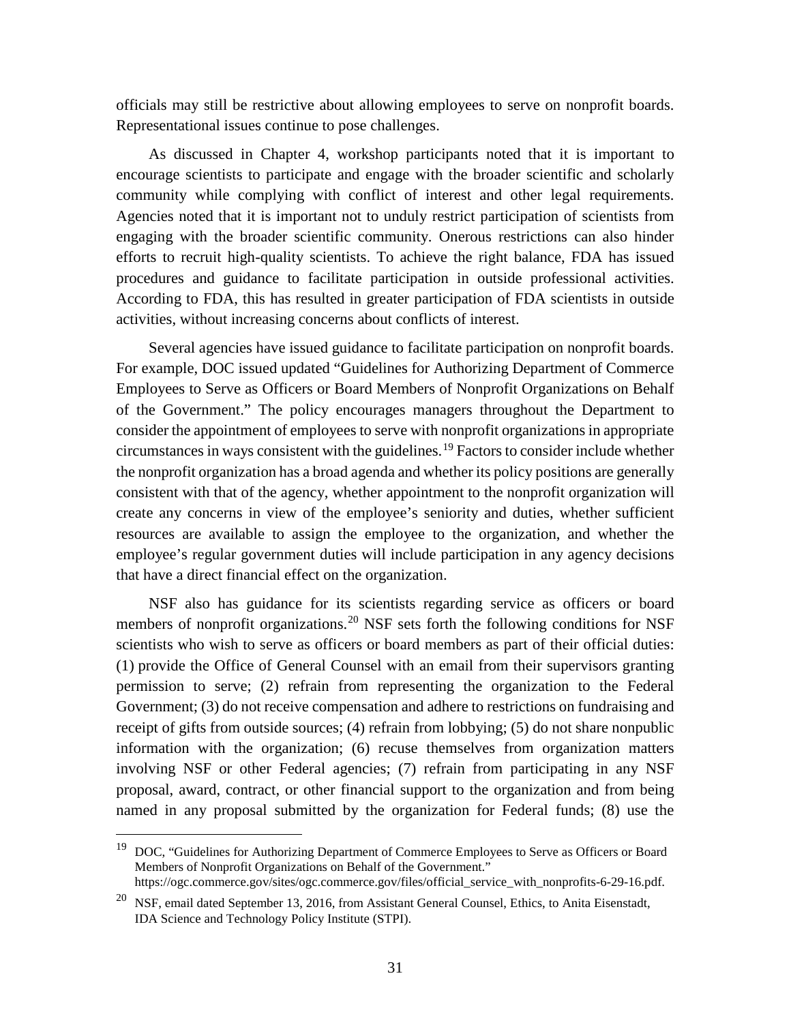officials may still be restrictive about allowing employees to serve on nonprofit boards. Representational issues continue to pose challenges.

As discussed in Chapter 4, workshop participants noted that it is important to encourage scientists to participate and engage with the broader scientific and scholarly community while complying with conflict of interest and other legal requirements. Agencies noted that it is important not to unduly restrict participation of scientists from engaging with the broader scientific community. Onerous restrictions can also hinder efforts to recruit high-quality scientists. To achieve the right balance, FDA has issued procedures and guidance to facilitate participation in outside professional activities. According to FDA, this has resulted in greater participation of FDA scientists in outside activities, without increasing concerns about conflicts of interest.

Several agencies have issued guidance to facilitate participation on nonprofit boards. For example, DOC issued updated "Guidelines for Authorizing Department of Commerce Employees to Serve as Officers or Board Members of Nonprofit Organizations on Behalf of the Government." The policy encourages managers throughout the Department to consider the appointment of employees to serve with nonprofit organizations in appropriate circumstances in ways consistent with the guidelines. [19](#page-42-0) Factors to consider include whether the nonprofit organization has a broad agenda and whether its policy positions are generally consistent with that of the agency, whether appointment to the nonprofit organization will create any concerns in view of the employee's seniority and duties, whether sufficient resources are available to assign the employee to the organization, and whether the employee's regular government duties will include participation in any agency decisions that have a direct financial effect on the organization.

NSF also has guidance for its scientists regarding service as officers or board members of nonprofit organizations.<sup>[20](#page-42-1)</sup> NSF sets forth the following conditions for NSF scientists who wish to serve as officers or board members as part of their official duties: (1) provide the Office of General Counsel with an email from their supervisors granting permission to serve; (2) refrain from representing the organization to the Federal Government; (3) do not receive compensation and adhere to restrictions on fundraising and receipt of gifts from outside sources; (4) refrain from lobbying; (5) do not share nonpublic information with the organization; (6) recuse themselves from organization matters involving NSF or other Federal agencies; (7) refrain from participating in any NSF proposal, award, contract, or other financial support to the organization and from being named in any proposal submitted by the organization for Federal funds; (8) use the

<span id="page-42-0"></span><sup>&</sup>lt;sup>19</sup> DOC, "Guidelines for Authorizing Department of Commerce Employees to Serve as Officers or Board Members of Nonprofit Organizations on Behalf of the Government." https://ogc.commerce.gov/sites/ogc.commerce.gov/files/official service with nonprofits-6-29-16.pdf.

<span id="page-42-1"></span><sup>&</sup>lt;sup>20</sup> NSF, email dated September 13, 2016, from Assistant General Counsel, Ethics, to Anita Eisenstadt, IDA Science and Technology Policy Institute (STPI).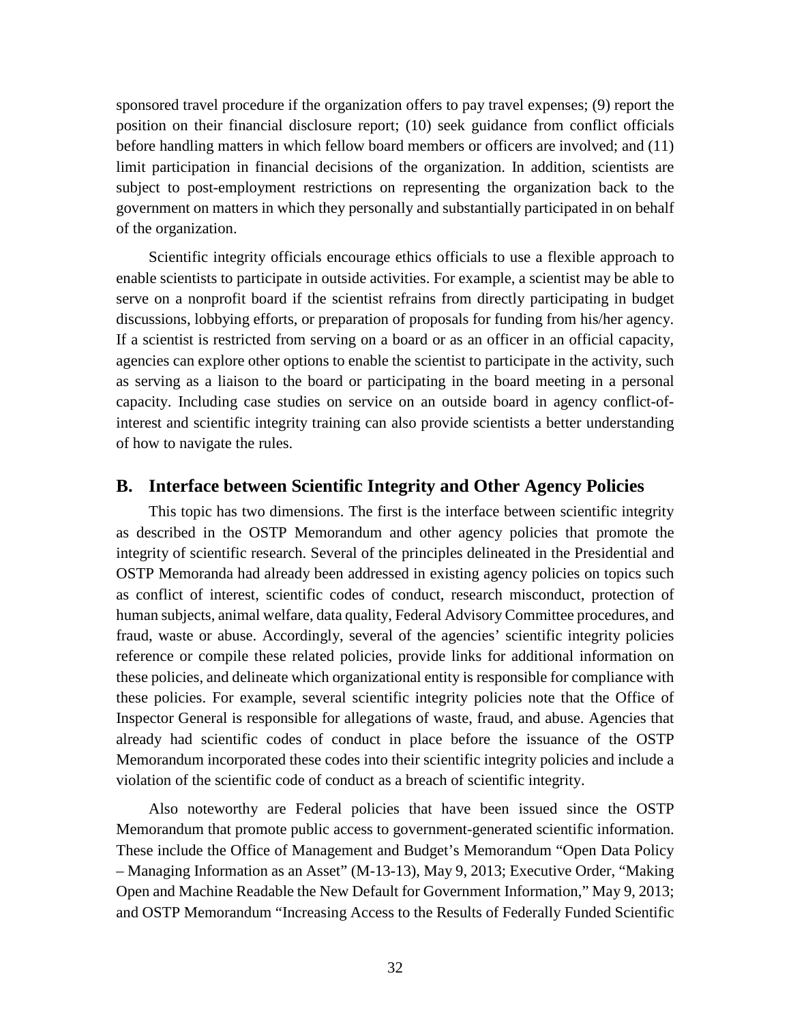sponsored travel procedure if the organization offers to pay travel expenses; (9) report the position on their financial disclosure report; (10) seek guidance from conflict officials before handling matters in which fellow board members or officers are involved; and (11) limit participation in financial decisions of the organization. In addition, scientists are subject to post-employment restrictions on representing the organization back to the government on matters in which they personally and substantially participated in on behalf of the organization.

Scientific integrity officials encourage ethics officials to use a flexible approach to enable scientists to participate in outside activities. For example, a scientist may be able to serve on a nonprofit board if the scientist refrains from directly participating in budget discussions, lobbying efforts, or preparation of proposals for funding from his/her agency. If a scientist is restricted from serving on a board or as an officer in an official capacity, agencies can explore other options to enable the scientist to participate in the activity, such as serving as a liaison to the board or participating in the board meeting in a personal capacity. Including case studies on service on an outside board in agency conflict-ofinterest and scientific integrity training can also provide scientists a better understanding of how to navigate the rules.

#### <span id="page-43-0"></span>**B. Interface between Scientific Integrity and Other Agency Policies**

This topic has two dimensions. The first is the interface between scientific integrity as described in the OSTP Memorandum and other agency policies that promote the integrity of scientific research. Several of the principles delineated in the Presidential and OSTP Memoranda had already been addressed in existing agency policies on topics such as conflict of interest, scientific codes of conduct, research misconduct, protection of human subjects, animal welfare, data quality, Federal Advisory Committee procedures, and fraud, waste or abuse. Accordingly, several of the agencies' scientific integrity policies reference or compile these related policies, provide links for additional information on these policies, and delineate which organizational entity is responsible for compliance with these policies. For example, several scientific integrity policies note that the Office of Inspector General is responsible for allegations of waste, fraud, and abuse. Agencies that already had scientific codes of conduct in place before the issuance of the OSTP Memorandum incorporated these codes into their scientific integrity policies and include a violation of the scientific code of conduct as a breach of scientific integrity.

Also noteworthy are Federal policies that have been issued since the OSTP Memorandum that promote public access to government-generated scientific information. These include the Office of Management and Budget's Memorandum "Open Data Policy – Managing Information as an Asset" (M-13-13), May 9, 2013; Executive Order, "Making Open and Machine Readable the New Default for Government Information," May 9, 2013; and OSTP Memorandum "Increasing Access to the Results of Federally Funded Scientific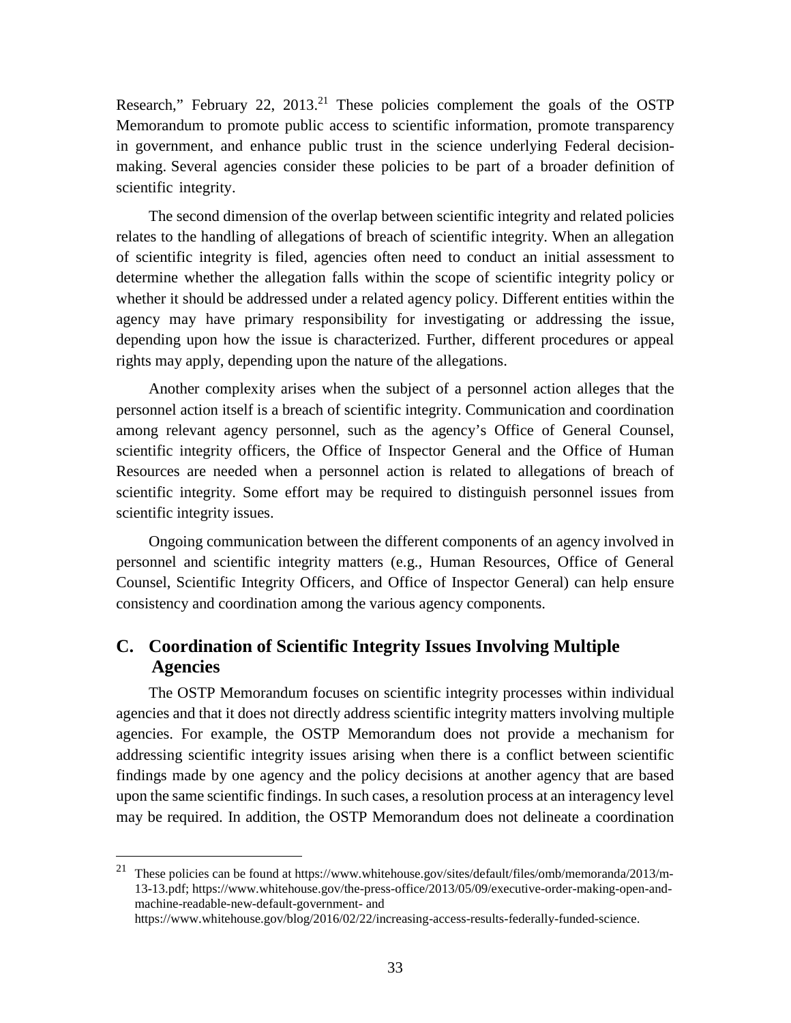Research," February 22, 2013.<sup>[21](#page-44-1)</sup> These policies complement the goals of the OSTP Memorandum to promote public access to scientific information, promote transparency in government, and enhance public trust in the science underlying Federal decisionmaking. Several agencies consider these policies to be part of a broader definition of scientific integrity.

The second dimension of the overlap between scientific integrity and related policies relates to the handling of allegations of breach of scientific integrity. When an allegation of scientific integrity is filed, agencies often need to conduct an initial assessment to determine whether the allegation falls within the scope of scientific integrity policy or whether it should be addressed under a related agency policy. Different entities within the agency may have primary responsibility for investigating or addressing the issue, depending upon how the issue is characterized. Further, different procedures or appeal rights may apply, depending upon the nature of the allegations.

Another complexity arises when the subject of a personnel action alleges that the personnel action itself is a breach of scientific integrity. Communication and coordination among relevant agency personnel, such as the agency's Office of General Counsel, scientific integrity officers, the Office of Inspector General and the Office of Human Resources are needed when a personnel action is related to allegations of breach of scientific integrity. Some effort may be required to distinguish personnel issues from scientific integrity issues.

Ongoing communication between the different components of an agency involved in personnel and scientific integrity matters (e.g., Human Resources, Office of General Counsel, Scientific Integrity Officers, and Office of Inspector General) can help ensure consistency and coordination among the various agency components.

#### <span id="page-44-0"></span>**C. Coordination of Scientific Integrity Issues Involving Multiple Agencies**

The OSTP Memorandum focuses on scientific integrity processes within individual agencies and that it does not directly address scientific integrity matters involving multiple agencies. For example, the OSTP Memorandum does not provide a mechanism for addressing scientific integrity issues arising when there is a conflict between scientific findings made by one agency and the policy decisions at another agency that are based upon the same scientific findings. In such cases, a resolution process at an interagency level may be required. In addition, the OSTP Memorandum does not delineate a coordination

<span id="page-44-1"></span><sup>&</sup>lt;sup>21</sup> These policies can be found at [https://www.whitehouse.gov/sites/default/files/omb/memoranda/2013/m-](https://www.whitehouse.gov/sites/default/files/omb/memoranda/2013/m-13-13.pdf)[13-13.pdf;](https://www.whitehouse.gov/sites/default/files/omb/memoranda/2013/m-13-13.pdf) https://www.whitehouse.gov/the-press-office/2013/05/09/executive-order-making-open-andmachine-readable-new-default-government- and

https://www.whitehouse.gov/blog/2016/02/22/increasing-access-results-federally-funded-science.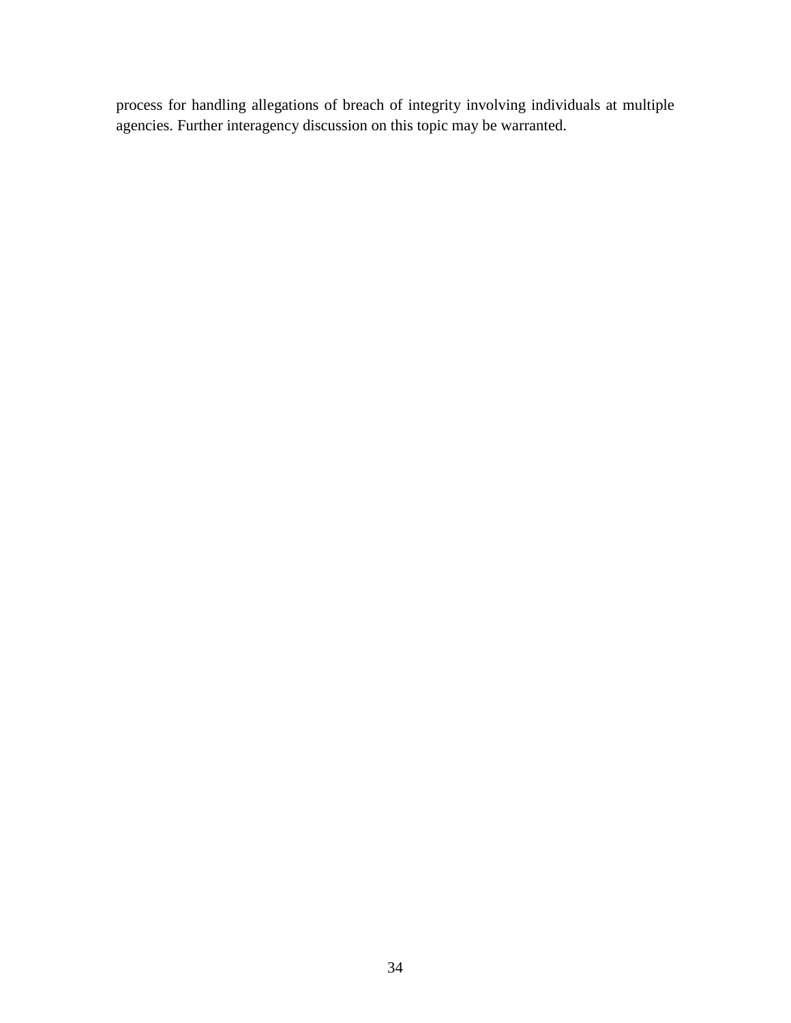process for handling allegations of breach of integrity involving individuals at multiple agencies. Further interagency discussion on this topic may be warranted.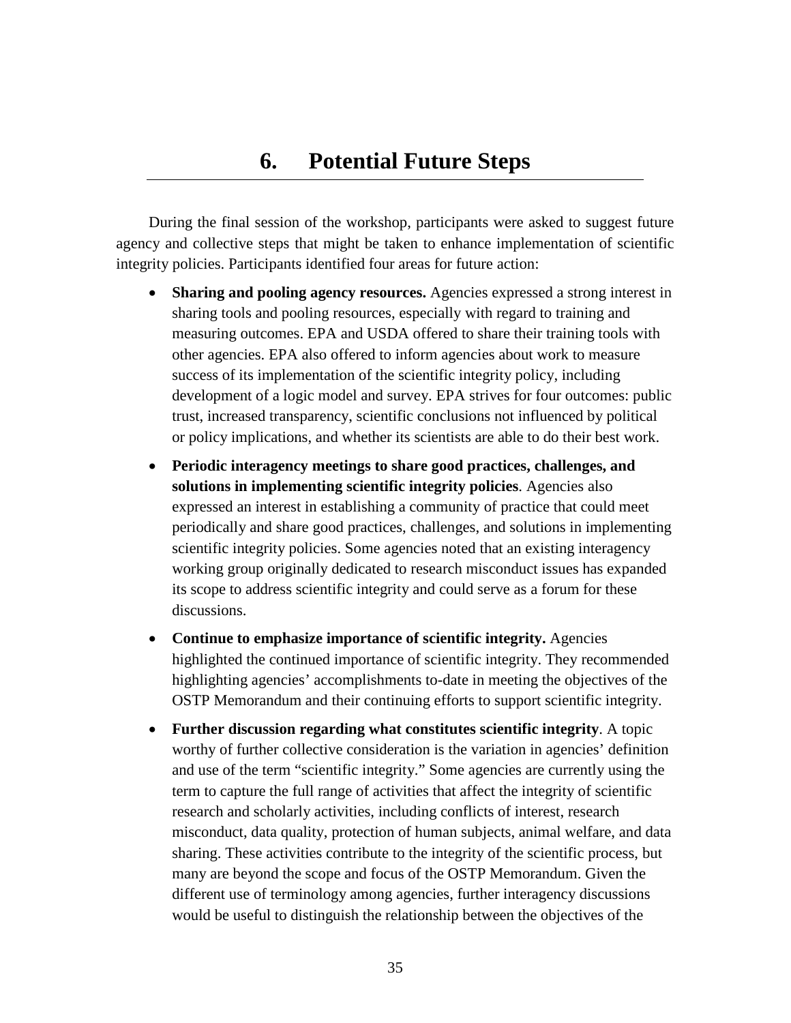### **6. Potential Future Steps**

<span id="page-46-0"></span>During the final session of the workshop, participants were asked to suggest future agency and collective steps that might be taken to enhance implementation of scientific integrity policies. Participants identified four areas for future action:

- **Sharing and pooling agency resources.** Agencies expressed a strong interest in sharing tools and pooling resources, especially with regard to training and measuring outcomes. EPA and USDA offered to share their training tools with other agencies. EPA also offered to inform agencies about work to measure success of its implementation of the scientific integrity policy, including development of a logic model and survey. EPA strives for four outcomes: public trust, increased transparency, scientific conclusions not influenced by political or policy implications, and whether its scientists are able to do their best work.
- **Periodic interagency meetings to share good practices, challenges, and solutions in implementing scientific integrity policies**. Agencies also expressed an interest in establishing a community of practice that could meet periodically and share good practices, challenges, and solutions in implementing scientific integrity policies. Some agencies noted that an existing interagency working group originally dedicated to research misconduct issues has expanded its scope to address scientific integrity and could serve as a forum for these discussions.
- **Continue to emphasize importance of scientific integrity.** Agencies highlighted the continued importance of scientific integrity. They recommended highlighting agencies' accomplishments to-date in meeting the objectives of the OSTP Memorandum and their continuing efforts to support scientific integrity.
- **Further discussion regarding what constitutes scientific integrity**. A topic worthy of further collective consideration is the variation in agencies' definition and use of the term "scientific integrity." Some agencies are currently using the term to capture the full range of activities that affect the integrity of scientific research and scholarly activities, including conflicts of interest, research misconduct, data quality, protection of human subjects, animal welfare, and data sharing. These activities contribute to the integrity of the scientific process, but many are beyond the scope and focus of the OSTP Memorandum. Given the different use of terminology among agencies, further interagency discussions would be useful to distinguish the relationship between the objectives of the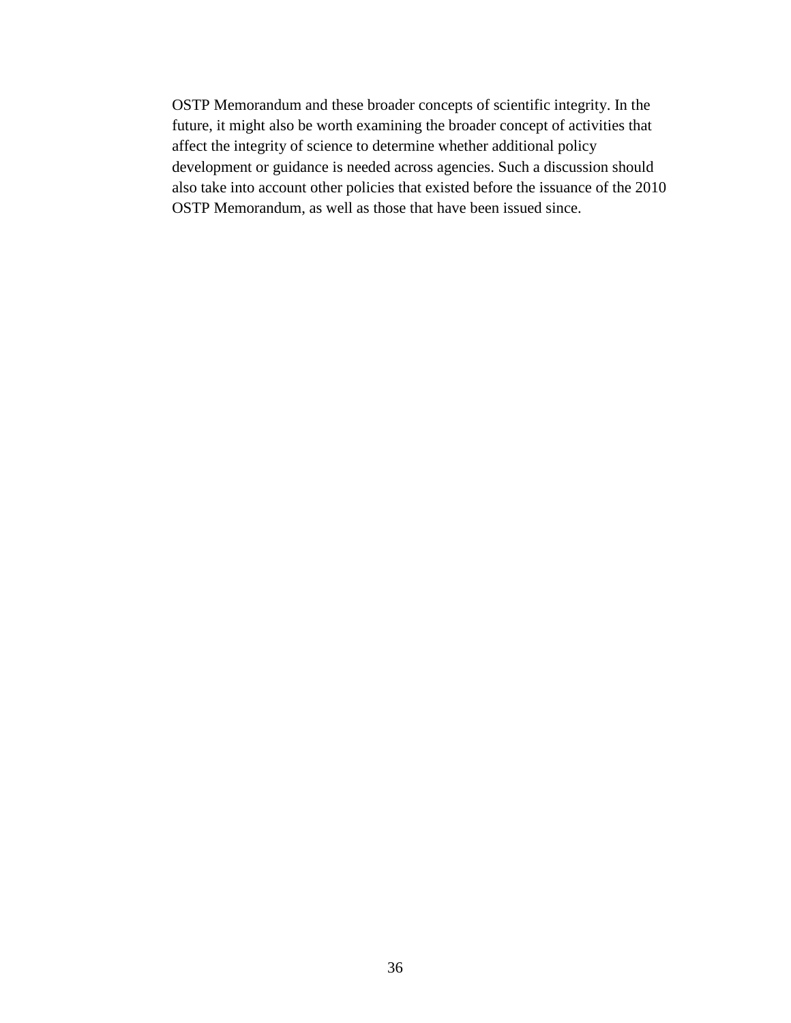OSTP Memorandum and these broader concepts of scientific integrity. In the future, it might also be worth examining the broader concept of activities that affect the integrity of science to determine whether additional policy development or guidance is needed across agencies. Such a discussion should also take into account other policies that existed before the issuance of the 2010 OSTP Memorandum, as well as those that have been issued since.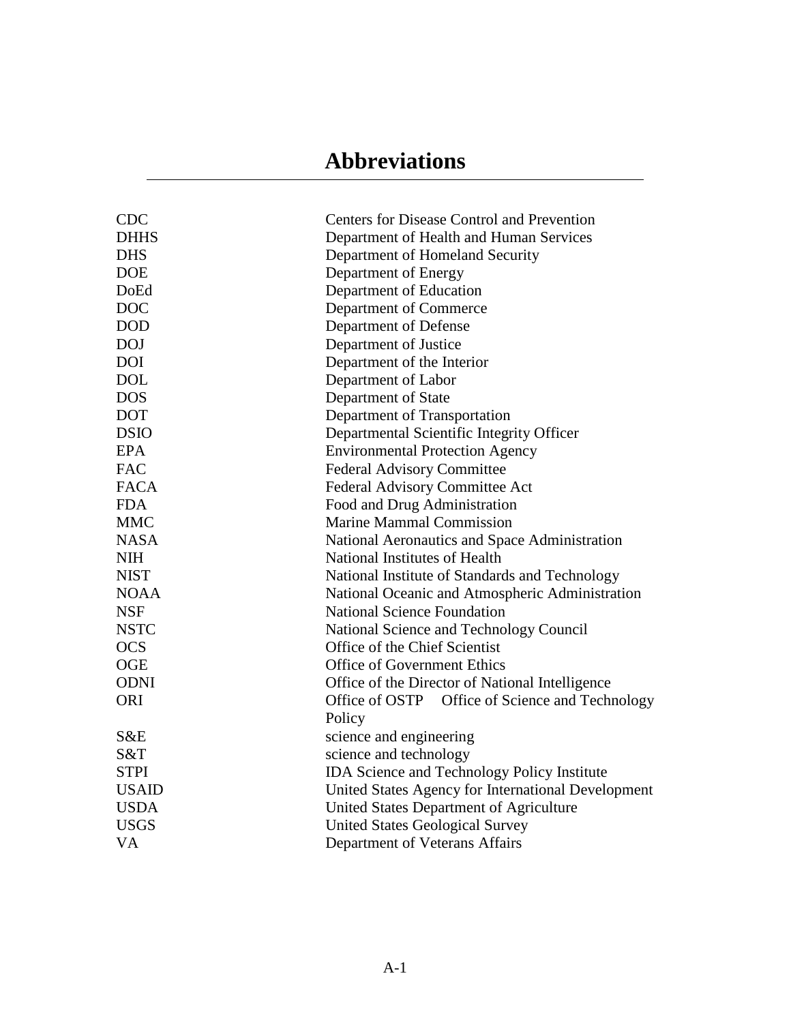# **Abbreviations**

<span id="page-48-0"></span>

| <b>CDC</b>   | <b>Centers for Disease Control and Prevention</b>  |  |  |  |  |
|--------------|----------------------------------------------------|--|--|--|--|
| <b>DHHS</b>  | Department of Health and Human Services            |  |  |  |  |
| <b>DHS</b>   | Department of Homeland Security                    |  |  |  |  |
| <b>DOE</b>   | Department of Energy                               |  |  |  |  |
| DoEd         | Department of Education                            |  |  |  |  |
| <b>DOC</b>   | Department of Commerce                             |  |  |  |  |
| <b>DOD</b>   | Department of Defense                              |  |  |  |  |
| <b>DOJ</b>   | Department of Justice                              |  |  |  |  |
| <b>DOI</b>   | Department of the Interior                         |  |  |  |  |
| <b>DOL</b>   | Department of Labor                                |  |  |  |  |
| <b>DOS</b>   | Department of State                                |  |  |  |  |
| <b>DOT</b>   | Department of Transportation                       |  |  |  |  |
| <b>DSIO</b>  | Departmental Scientific Integrity Officer          |  |  |  |  |
| <b>EPA</b>   | <b>Environmental Protection Agency</b>             |  |  |  |  |
| <b>FAC</b>   | <b>Federal Advisory Committee</b>                  |  |  |  |  |
| <b>FACA</b>  | Federal Advisory Committee Act                     |  |  |  |  |
| <b>FDA</b>   | Food and Drug Administration                       |  |  |  |  |
| <b>MMC</b>   | <b>Marine Mammal Commission</b>                    |  |  |  |  |
| <b>NASA</b>  | National Aeronautics and Space Administration      |  |  |  |  |
| <b>NIH</b>   | National Institutes of Health                      |  |  |  |  |
| <b>NIST</b>  | National Institute of Standards and Technology     |  |  |  |  |
| <b>NOAA</b>  | National Oceanic and Atmospheric Administration    |  |  |  |  |
| <b>NSF</b>   | <b>National Science Foundation</b>                 |  |  |  |  |
| <b>NSTC</b>  | National Science and Technology Council            |  |  |  |  |
| <b>OCS</b>   | Office of the Chief Scientist                      |  |  |  |  |
| <b>OGE</b>   | Office of Government Ethics                        |  |  |  |  |
| <b>ODNI</b>  | Office of the Director of National Intelligence    |  |  |  |  |
| <b>ORI</b>   | Office of OSTP   Office of Science and Technology  |  |  |  |  |
|              | Policy                                             |  |  |  |  |
| S&E          | science and engineering                            |  |  |  |  |
| S&T          | science and technology                             |  |  |  |  |
| <b>STPI</b>  | <b>IDA Science and Technology Policy Institute</b> |  |  |  |  |
| <b>USAID</b> | United States Agency for International Development |  |  |  |  |
| <b>USDA</b>  | United States Department of Agriculture            |  |  |  |  |
| <b>USGS</b>  | <b>United States Geological Survey</b>             |  |  |  |  |
| <b>VA</b>    | Department of Veterans Affairs                     |  |  |  |  |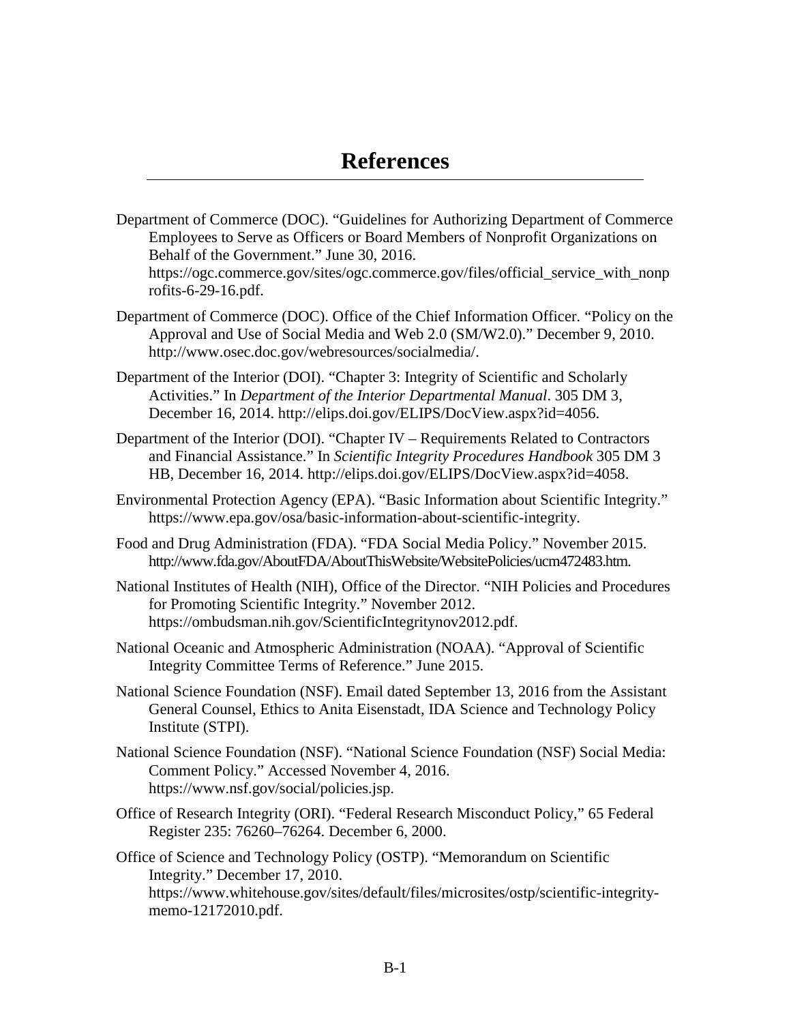- <span id="page-50-0"></span>Department of Commerce (DOC). "Guidelines for Authorizing Department of Commerce Employees to Serve as Officers or Board Members of Nonprofit Organizations on Behalf of the Government." June 30, 2016. https://ogc.commerce.gov/sites/ogc.commerce.gov/files/official service with nonp [rofits-6-29-16.pdf.](https://ogc.commerce.gov/sites/ogc.commerce.gov/files/official_service_with_nonprofits-6-29-16.pdf)
- Department of Commerce (DOC). Office of the Chief Information Officer. "Policy on the Approval and Use of Social Media and Web 2.0 (SM/W2.0)." December 9, 2010. http://www.osec.doc.gov/webresources/socialmedia/.
- Department of the Interior (DOI). "Chapter 3: Integrity of Scientific and Scholarly Activities." In *Department of the Interior Departmental Manual*. 305 DM 3, December 16, 2014. [http://elips.doi.gov/ELIPS/DocView.aspx?id=4056.](http://elips.doi.gov/ELIPS/DocView.aspx?id=4056)
- Department of the Interior (DOI). "Chapter IV Requirements Related to Contractors and Financial Assistance." In *Scientific Integrity Procedures Handbook* 305 DM 3 HB, December 16, 2014. [http://elips.doi.gov/ELIPS/DocView.aspx?id=4058.](http://elips.doi.gov/ELIPS/DocView.aspx?id=4058)
- Environmental Protection Agency (EPA). "Basic Information about Scientific Integrity." [https://www.epa.gov/osa/basic-information-about-scientific-integrity.](https://www.epa.gov/osa/basic-information-about-scientific-integrity#definition)
- Food and Drug Administration (FDA). "FDA Social Media Policy." November 2015. [http://www.fda.gov/AboutFDA/AboutThisWebsite/WebsitePolicies/ucm472483.htm.](http://www.fda.gov/AboutFDA/AboutThisWebsite/WebsitePolicies/ucm472483.htm)
- National Institutes of Health (NIH), Office of the Director. "NIH Policies and Procedures for Promoting Scientific Integrity." November 2012. [https://ombudsman.nih.gov/ScientificIntegritynov2012.pdf.](https://ombudsman.nih.gov/ScientificIntegritynov2012.pdf)
- National Oceanic and Atmospheric Administration (NOAA). "Approval of Scientific Integrity Committee Terms of Reference." June 2015.
- National Science Foundation (NSF). Email dated September 13, 2016 from the Assistant General Counsel, Ethics to Anita Eisenstadt, IDA Science and Technology Policy Institute (STPI).
- National Science Foundation (NSF). "National Science Foundation (NSF) Social Media: Comment Policy." Accessed November 4, 2016. [https://www.nsf.gov/social/policies.jsp.](https://www.nsf.gov/social/policies.jsp)
- Office of Research Integrity (ORI). "Federal Research Misconduct Policy," 65 Federal Register 235: 76260–76264. December 6, 2000.
- Office of Science and Technology Policy (OSTP). "Memorandum on Scientific Integrity." December 17, 2010. [https://www.whitehouse.gov/sites/default/files/microsites/ostp/scientific-integrity](https://www.whitehouse.gov/sites/default/files/microsites/ostp/scientific-integrity-memo-12172010.pdf)[memo-12172010.pdf.](https://www.whitehouse.gov/sites/default/files/microsites/ostp/scientific-integrity-memo-12172010.pdf)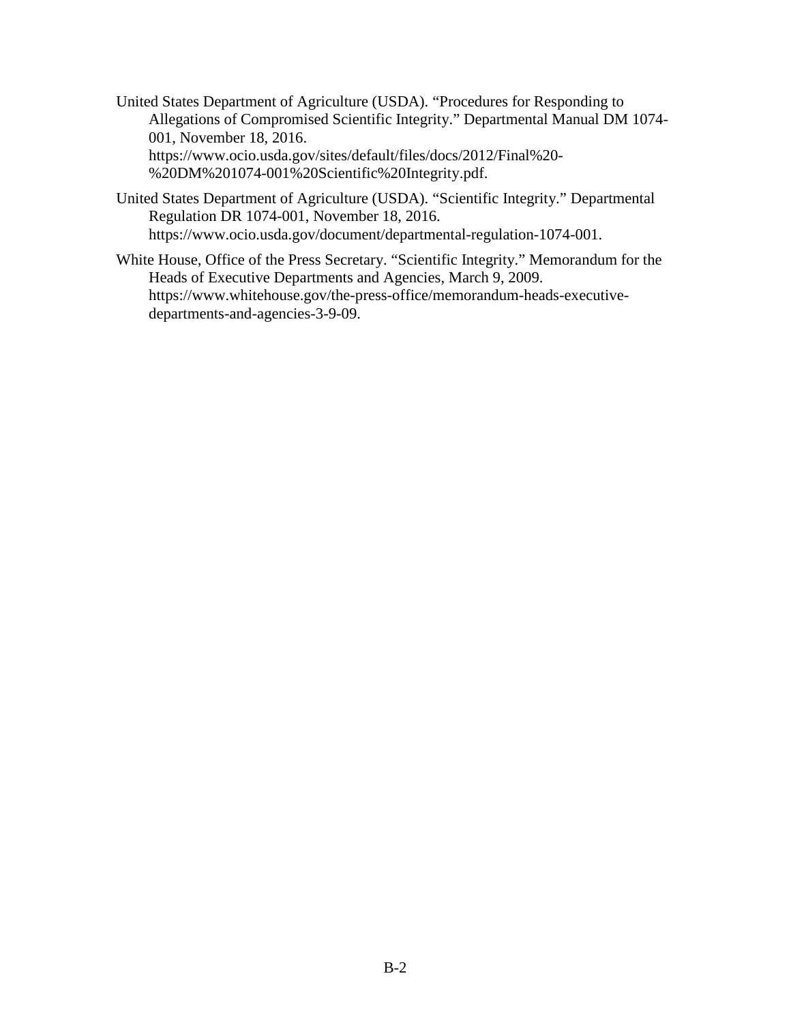- United States Department of Agriculture (USDA). "Procedures for Responding to Allegations of Compromised Scientific Integrity." Departmental Manual DM 1074- 001, November 18, 2016. [https://www.ocio.usda.gov/sites/default/files/docs/2012/Final%20-](https://www.ocio.usda.gov/sites/default/files/docs/2012/Final%20-%20DM%201074-001%20Scientific%20Integrity.pdf) [%20DM%201074-001%20Scientific%20Integrity.pdf.](https://www.ocio.usda.gov/sites/default/files/docs/2012/Final%20-%20DM%201074-001%20Scientific%20Integrity.pdf)
- United States Department of Agriculture (USDA). "Scientific Integrity." Departmental Regulation DR 1074-001, November 18, 2016. https://www.ocio.usda.gov/document/departmental-regulation-1074-001.
- White House, Office of the Press Secretary. "Scientific Integrity." Memorandum for the Heads of Executive Departments and Agencies, March 9, 2009. [https://www.whitehouse.gov/the-press-office/memorandum-heads-executive](https://www.whitehouse.gov/the-press-office/memorandum-heads-executive-departments-and-agencies-3-9-09)[departments-and-agencies-3-9-09.](https://www.whitehouse.gov/the-press-office/memorandum-heads-executive-departments-and-agencies-3-9-09)